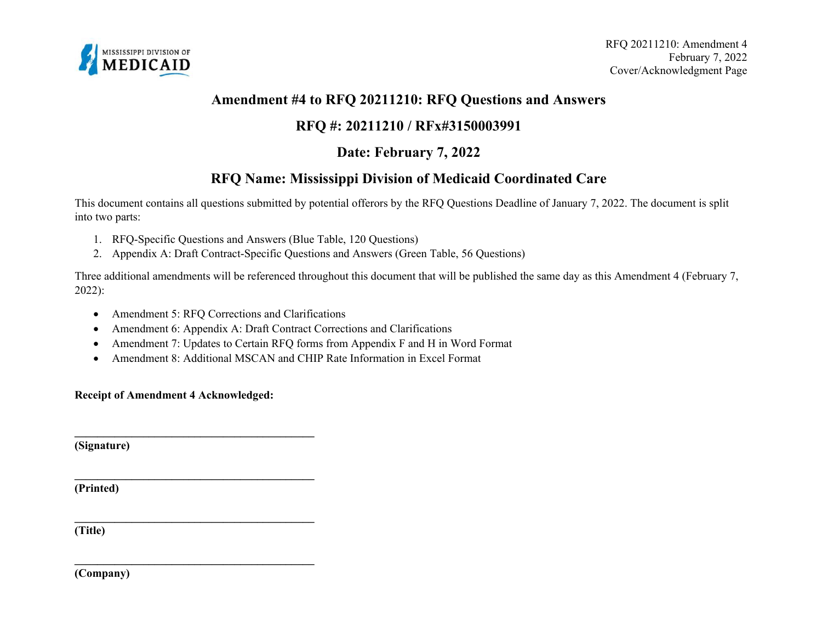

### **Amendment #4 to RFQ 20211210: RFQ Questions and Answers**

## **RFQ #: 20211210 / RFx#3150003991**

## **Date: February 7, 2022**

# **RFQ Name: Mississippi Division of Medicaid Coordinated Care**

This document contains all questions submitted by potential offerors by the RFQ Questions Deadline of January 7, 2022. The document is split into two parts:

- 1. RFQ-Specific Questions and Answers (Blue Table, 120 Questions)
- 2. Appendix A: Draft Contract-Specific Questions and Answers (Green Table, 56 Questions)

Three additional amendments will be referenced throughout this document that will be published the same day as this Amendment 4 (February 7, 2022):

- Amendment 5: RFQ Corrections and Clarifications
- Amendment 6: Appendix A: Draft Contract Corrections and Clarifications
- Amendment 7: Updates to Certain RFQ forms from Appendix F and H in Word Format
- Amendment 8: Additional MSCAN and CHIP Rate Information in Excel Format

#### **Receipt of Amendment 4 Acknowledged:**

**\_\_\_\_\_\_\_\_\_\_\_\_\_\_\_\_\_\_\_\_\_\_\_\_\_\_\_\_\_\_\_\_\_\_\_\_\_\_\_\_\_\_** 

**\_\_\_\_\_\_\_\_\_\_\_\_\_\_\_\_\_\_\_\_\_\_\_\_\_\_\_\_\_\_\_\_\_\_\_\_\_\_\_\_\_\_** 

**\_\_\_\_\_\_\_\_\_\_\_\_\_\_\_\_\_\_\_\_\_\_\_\_\_\_\_\_\_\_\_\_\_\_\_\_\_\_\_\_\_\_** 

**\_\_\_\_\_\_\_\_\_\_\_\_\_\_\_\_\_\_\_\_\_\_\_\_\_\_\_\_\_\_\_\_\_\_\_\_\_\_\_\_\_\_** 

**(Signature)** 

**(Printed)** 

**(Title)** 

**(Company)**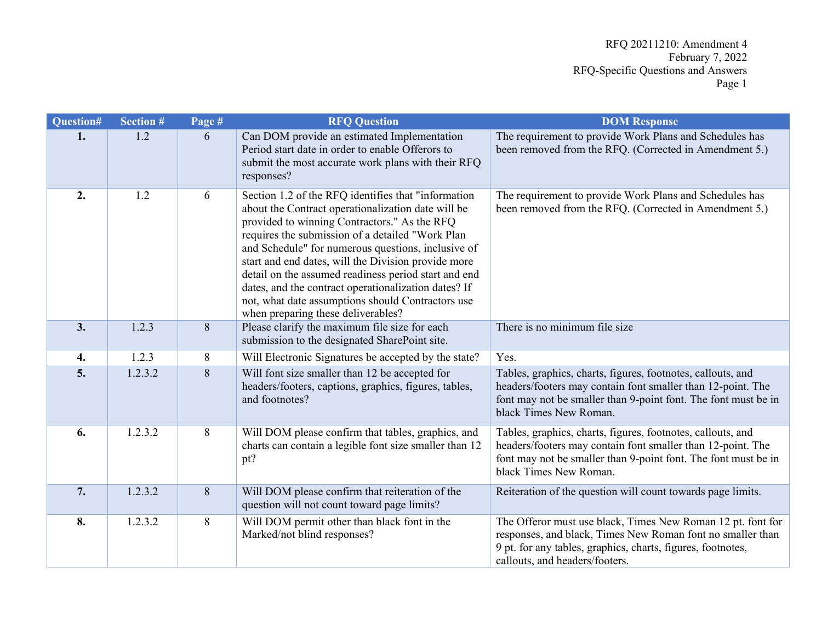| Question# | Section # | Page # | <b>RFQ Question</b>                                                                                                                                                                                                                                                                                                                                                                                                                                                                                                                   | <b>DOM Response</b>                                                                                                                                                                                                        |
|-----------|-----------|--------|---------------------------------------------------------------------------------------------------------------------------------------------------------------------------------------------------------------------------------------------------------------------------------------------------------------------------------------------------------------------------------------------------------------------------------------------------------------------------------------------------------------------------------------|----------------------------------------------------------------------------------------------------------------------------------------------------------------------------------------------------------------------------|
| 1.        | 1.2       | 6      | Can DOM provide an estimated Implementation<br>Period start date in order to enable Offerors to<br>submit the most accurate work plans with their RFQ<br>responses?                                                                                                                                                                                                                                                                                                                                                                   | The requirement to provide Work Plans and Schedules has<br>been removed from the RFQ. (Corrected in Amendment 5.)                                                                                                          |
| 2.        | 1.2       | 6      | Section 1.2 of the RFQ identifies that "information<br>about the Contract operationalization date will be<br>provided to winning Contractors." As the RFQ<br>requires the submission of a detailed "Work Plan<br>and Schedule" for numerous questions, inclusive of<br>start and end dates, will the Division provide more<br>detail on the assumed readiness period start and end<br>dates, and the contract operationalization dates? If<br>not, what date assumptions should Contractors use<br>when preparing these deliverables? | The requirement to provide Work Plans and Schedules has<br>been removed from the RFQ. (Corrected in Amendment 5.)                                                                                                          |
| 3.        | 1.2.3     | $8\,$  | Please clarify the maximum file size for each<br>submission to the designated SharePoint site.                                                                                                                                                                                                                                                                                                                                                                                                                                        | There is no minimum file size                                                                                                                                                                                              |
| 4.        | 1.2.3     | 8      | Will Electronic Signatures be accepted by the state?                                                                                                                                                                                                                                                                                                                                                                                                                                                                                  | Yes.                                                                                                                                                                                                                       |
| 5.        | 1.2.3.2   | $8\,$  | Will font size smaller than 12 be accepted for<br>headers/footers, captions, graphics, figures, tables,<br>and footnotes?                                                                                                                                                                                                                                                                                                                                                                                                             | Tables, graphics, charts, figures, footnotes, callouts, and<br>headers/footers may contain font smaller than 12-point. The<br>font may not be smaller than 9-point font. The font must be in<br>black Times New Roman.     |
| 6.        | 1.2.3.2   | $8\,$  | Will DOM please confirm that tables, graphics, and<br>charts can contain a legible font size smaller than 12<br>pt?                                                                                                                                                                                                                                                                                                                                                                                                                   | Tables, graphics, charts, figures, footnotes, callouts, and<br>headers/footers may contain font smaller than 12-point. The<br>font may not be smaller than 9-point font. The font must be in<br>black Times New Roman.     |
| 7.        | 1.2.3.2   | $8\,$  | Will DOM please confirm that reiteration of the<br>question will not count toward page limits?                                                                                                                                                                                                                                                                                                                                                                                                                                        | Reiteration of the question will count towards page limits.                                                                                                                                                                |
| 8.        | 1.2.3.2   | 8      | Will DOM permit other than black font in the<br>Marked/not blind responses?                                                                                                                                                                                                                                                                                                                                                                                                                                                           | The Offeror must use black, Times New Roman 12 pt. font for<br>responses, and black, Times New Roman font no smaller than<br>9 pt. for any tables, graphics, charts, figures, footnotes,<br>callouts, and headers/footers. |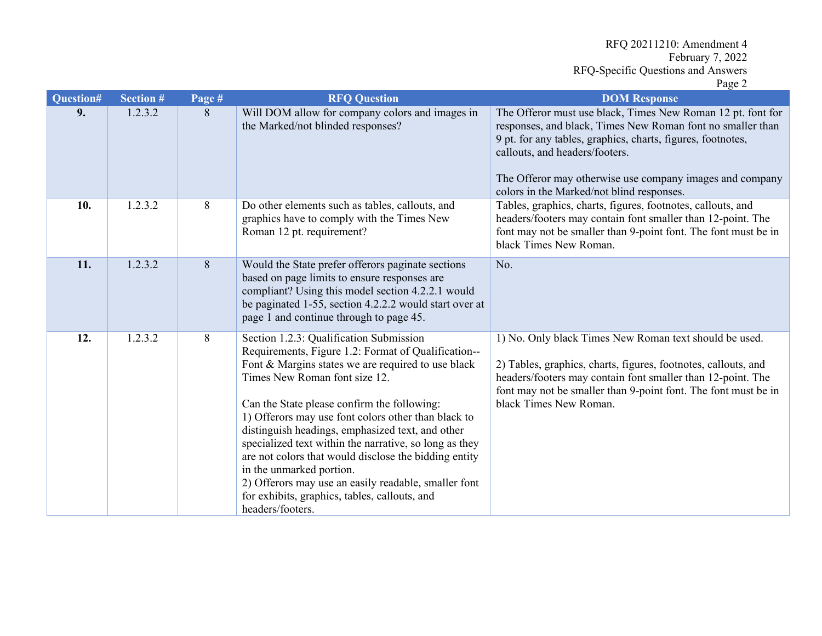| Question# | <b>Section #</b> | Page # | <b>RFQ Question</b>                                                                                                                                                                                                                                                                                                                                                                                                                                                                                                                                                                                                         | <b>DOM Response</b>                                                                                                                                                                                                                                                                                                                 |
|-----------|------------------|--------|-----------------------------------------------------------------------------------------------------------------------------------------------------------------------------------------------------------------------------------------------------------------------------------------------------------------------------------------------------------------------------------------------------------------------------------------------------------------------------------------------------------------------------------------------------------------------------------------------------------------------------|-------------------------------------------------------------------------------------------------------------------------------------------------------------------------------------------------------------------------------------------------------------------------------------------------------------------------------------|
| 9.        | 1.2.3.2          | 8      | Will DOM allow for company colors and images in<br>the Marked/not blinded responses?                                                                                                                                                                                                                                                                                                                                                                                                                                                                                                                                        | The Offeror must use black, Times New Roman 12 pt. font for<br>responses, and black, Times New Roman font no smaller than<br>9 pt. for any tables, graphics, charts, figures, footnotes,<br>callouts, and headers/footers.<br>The Offeror may otherwise use company images and company<br>colors in the Marked/not blind responses. |
| 10.       | 1.2.3.2          | 8      | Do other elements such as tables, callouts, and<br>graphics have to comply with the Times New<br>Roman 12 pt. requirement?                                                                                                                                                                                                                                                                                                                                                                                                                                                                                                  | Tables, graphics, charts, figures, footnotes, callouts, and<br>headers/footers may contain font smaller than 12-point. The<br>font may not be smaller than 9-point font. The font must be in<br>black Times New Roman.                                                                                                              |
| 11.       | 1.2.3.2          | 8      | Would the State prefer offerors paginate sections<br>based on page limits to ensure responses are<br>compliant? Using this model section 4.2.2.1 would<br>be paginated 1-55, section 4.2.2.2 would start over at<br>page 1 and continue through to page 45.                                                                                                                                                                                                                                                                                                                                                                 | No.                                                                                                                                                                                                                                                                                                                                 |
| 12.       | 1.2.3.2          | 8      | Section 1.2.3: Qualification Submission<br>Requirements, Figure 1.2: Format of Qualification--<br>Font & Margins states we are required to use black<br>Times New Roman font size 12.<br>Can the State please confirm the following:<br>1) Offerors may use font colors other than black to<br>distinguish headings, emphasized text, and other<br>specialized text within the narrative, so long as they<br>are not colors that would disclose the bidding entity<br>in the unmarked portion.<br>2) Offerors may use an easily readable, smaller font<br>for exhibits, graphics, tables, callouts, and<br>headers/footers. | 1) No. Only black Times New Roman text should be used.<br>2) Tables, graphics, charts, figures, footnotes, callouts, and<br>headers/footers may contain font smaller than 12-point. The<br>font may not be smaller than 9-point font. The font must be in<br>black Times New Roman.                                                 |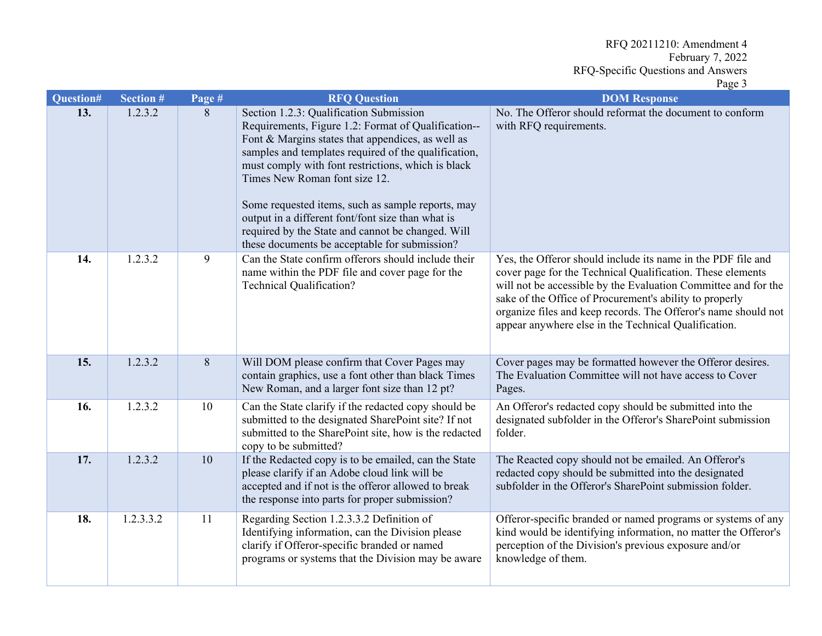| Question# | Section # | Page # | <b>RFQ Question</b>                                                                                                                                                                                                                                                                                                                                                                                                                                                                                                | <b>DOM Response</b>                                                                                                                                                                                                                                                                                                                                                               |
|-----------|-----------|--------|--------------------------------------------------------------------------------------------------------------------------------------------------------------------------------------------------------------------------------------------------------------------------------------------------------------------------------------------------------------------------------------------------------------------------------------------------------------------------------------------------------------------|-----------------------------------------------------------------------------------------------------------------------------------------------------------------------------------------------------------------------------------------------------------------------------------------------------------------------------------------------------------------------------------|
| 13.       | 1.2.3.2   | 8      | Section 1.2.3: Qualification Submission<br>Requirements, Figure 1.2: Format of Qualification--<br>Font & Margins states that appendices, as well as<br>samples and templates required of the qualification,<br>must comply with font restrictions, which is black<br>Times New Roman font size 12.<br>Some requested items, such as sample reports, may<br>output in a different font/font size than what is<br>required by the State and cannot be changed. Will<br>these documents be acceptable for submission? | No. The Offeror should reformat the document to conform<br>with RFQ requirements.                                                                                                                                                                                                                                                                                                 |
| 14.       | 1.2.3.2   | 9      | Can the State confirm offerors should include their<br>name within the PDF file and cover page for the<br>Technical Qualification?                                                                                                                                                                                                                                                                                                                                                                                 | Yes, the Offeror should include its name in the PDF file and<br>cover page for the Technical Qualification. These elements<br>will not be accessible by the Evaluation Committee and for the<br>sake of the Office of Procurement's ability to properly<br>organize files and keep records. The Offeror's name should not<br>appear anywhere else in the Technical Qualification. |
| 15.       | 1.2.3.2   | $8\,$  | Will DOM please confirm that Cover Pages may<br>contain graphics, use a font other than black Times<br>New Roman, and a larger font size than 12 pt?                                                                                                                                                                                                                                                                                                                                                               | Cover pages may be formatted however the Offeror desires.<br>The Evaluation Committee will not have access to Cover<br>Pages.                                                                                                                                                                                                                                                     |
| 16.       | 1.2.3.2   | 10     | Can the State clarify if the redacted copy should be<br>submitted to the designated SharePoint site? If not<br>submitted to the SharePoint site, how is the redacted<br>copy to be submitted?                                                                                                                                                                                                                                                                                                                      | An Offeror's redacted copy should be submitted into the<br>designated subfolder in the Offeror's SharePoint submission<br>folder.                                                                                                                                                                                                                                                 |
| 17.       | 1.2.3.2   | 10     | If the Redacted copy is to be emailed, can the State<br>please clarify if an Adobe cloud link will be<br>accepted and if not is the offeror allowed to break<br>the response into parts for proper submission?                                                                                                                                                                                                                                                                                                     | The Reacted copy should not be emailed. An Offeror's<br>redacted copy should be submitted into the designated<br>subfolder in the Offeror's SharePoint submission folder.                                                                                                                                                                                                         |
| 18.       | 1.2.3.3.2 | 11     | Regarding Section 1.2.3.3.2 Definition of<br>Identifying information, can the Division please<br>clarify if Offeror-specific branded or named<br>programs or systems that the Division may be aware                                                                                                                                                                                                                                                                                                                | Offeror-specific branded or named programs or systems of any<br>kind would be identifying information, no matter the Offeror's<br>perception of the Division's previous exposure and/or<br>knowledge of them.                                                                                                                                                                     |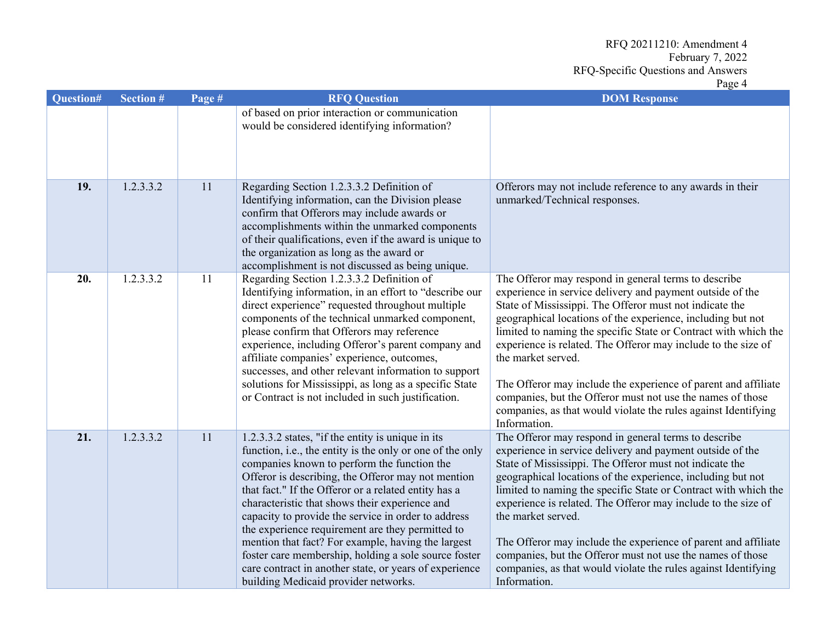| <b>Question#</b> | <b>Section #</b> | Page # | <b>RFQ Question</b>                                                                                                                                                                                                                                                                                                                                                                                                                                                                                                                                                                                                                                      | <b>DOM Response</b>                                                                                                                                                                                                                                                                                                                                                                                                                                                                                                                                                                                                     |
|------------------|------------------|--------|----------------------------------------------------------------------------------------------------------------------------------------------------------------------------------------------------------------------------------------------------------------------------------------------------------------------------------------------------------------------------------------------------------------------------------------------------------------------------------------------------------------------------------------------------------------------------------------------------------------------------------------------------------|-------------------------------------------------------------------------------------------------------------------------------------------------------------------------------------------------------------------------------------------------------------------------------------------------------------------------------------------------------------------------------------------------------------------------------------------------------------------------------------------------------------------------------------------------------------------------------------------------------------------------|
|                  |                  |        | of based on prior interaction or communication<br>would be considered identifying information?                                                                                                                                                                                                                                                                                                                                                                                                                                                                                                                                                           |                                                                                                                                                                                                                                                                                                                                                                                                                                                                                                                                                                                                                         |
| 19.              | 1.2.3.3.2        | 11     | Regarding Section 1.2.3.3.2 Definition of<br>Identifying information, can the Division please<br>confirm that Offerors may include awards or<br>accomplishments within the unmarked components<br>of their qualifications, even if the award is unique to<br>the organization as long as the award or<br>accomplishment is not discussed as being unique.                                                                                                                                                                                                                                                                                                | Offerors may not include reference to any awards in their<br>unmarked/Technical responses.                                                                                                                                                                                                                                                                                                                                                                                                                                                                                                                              |
| 20.              | 1.2.3.3.2        | 11     | Regarding Section 1.2.3.3.2 Definition of<br>Identifying information, in an effort to "describe our<br>direct experience" requested throughout multiple<br>components of the technical unmarked component,<br>please confirm that Offerors may reference<br>experience, including Offeror's parent company and<br>affiliate companies' experience, outcomes,<br>successes, and other relevant information to support<br>solutions for Mississippi, as long as a specific State<br>or Contract is not included in such justification.                                                                                                                     | The Offeror may respond in general terms to describe<br>experience in service delivery and payment outside of the<br>State of Mississippi. The Offeror must not indicate the<br>geographical locations of the experience, including but not<br>limited to naming the specific State or Contract with which the<br>experience is related. The Offeror may include to the size of<br>the market served.<br>The Offeror may include the experience of parent and affiliate<br>companies, but the Offeror must not use the names of those<br>companies, as that would violate the rules against Identifying<br>Information. |
| 21.              | 1.2.3.3.2        | 11     | 1.2.3.3.2 states, "if the entity is unique in its<br>function, i.e., the entity is the only or one of the only<br>companies known to perform the function the<br>Offeror is describing, the Offeror may not mention<br>that fact." If the Offeror or a related entity has a<br>characteristic that shows their experience and<br>capacity to provide the service in order to address<br>the experience requirement are they permitted to<br>mention that fact? For example, having the largest<br>foster care membership, holding a sole source foster<br>care contract in another state, or years of experience<br>building Medicaid provider networks. | The Offeror may respond in general terms to describe<br>experience in service delivery and payment outside of the<br>State of Mississippi. The Offeror must not indicate the<br>geographical locations of the experience, including but not<br>limited to naming the specific State or Contract with which the<br>experience is related. The Offeror may include to the size of<br>the market served.<br>The Offeror may include the experience of parent and affiliate<br>companies, but the Offeror must not use the names of those<br>companies, as that would violate the rules against Identifying<br>Information. |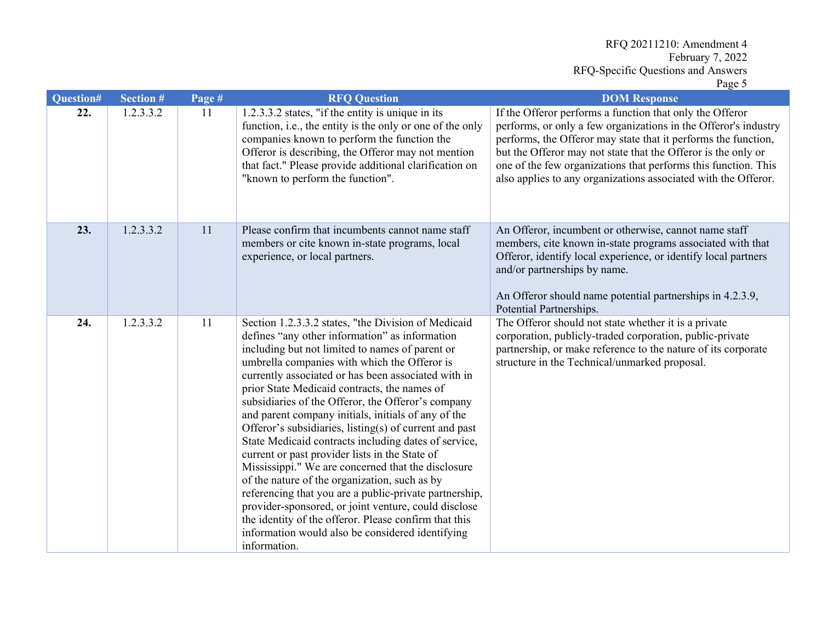| Question# | <b>Section #</b> | Page # | <b>RFQ Question</b>                                                                                                                                                                                                                                                                                                                                                                                                                                                                                                                                                                                                                                                                                                                                                                                                                                                                                                                                    | <b>DOM Response</b>                                                                                                                                                                                                                                                                                                                                                                                |
|-----------|------------------|--------|--------------------------------------------------------------------------------------------------------------------------------------------------------------------------------------------------------------------------------------------------------------------------------------------------------------------------------------------------------------------------------------------------------------------------------------------------------------------------------------------------------------------------------------------------------------------------------------------------------------------------------------------------------------------------------------------------------------------------------------------------------------------------------------------------------------------------------------------------------------------------------------------------------------------------------------------------------|----------------------------------------------------------------------------------------------------------------------------------------------------------------------------------------------------------------------------------------------------------------------------------------------------------------------------------------------------------------------------------------------------|
| 22.       | 1.2.3.3.2        | 11     | 1.2.3.3.2 states, "if the entity is unique in its<br>function, i.e., the entity is the only or one of the only<br>companies known to perform the function the<br>Offeror is describing, the Offeror may not mention<br>that fact." Please provide additional clarification on<br>"known to perform the function".                                                                                                                                                                                                                                                                                                                                                                                                                                                                                                                                                                                                                                      | If the Offeror performs a function that only the Offeror<br>performs, or only a few organizations in the Offeror's industry<br>performs, the Offeror may state that it performs the function,<br>but the Offeror may not state that the Offeror is the only or<br>one of the few organizations that performs this function. This<br>also applies to any organizations associated with the Offeror. |
| 23.       | 1.2.3.3.2        | 11     | Please confirm that incumbents cannot name staff<br>members or cite known in-state programs, local<br>experience, or local partners.                                                                                                                                                                                                                                                                                                                                                                                                                                                                                                                                                                                                                                                                                                                                                                                                                   | An Offeror, incumbent or otherwise, cannot name staff<br>members, cite known in-state programs associated with that<br>Offeror, identify local experience, or identify local partners<br>and/or partnerships by name.<br>An Offeror should name potential partnerships in 4.2.3.9,<br>Potential Partnerships.                                                                                      |
| 24.       | 1.2.3.3.2        | 11     | Section 1.2.3.3.2 states, "the Division of Medicaid<br>defines "any other information" as information<br>including but not limited to names of parent or<br>umbrella companies with which the Offeror is<br>currently associated or has been associated with in<br>prior State Medicaid contracts, the names of<br>subsidiaries of the Offeror, the Offeror's company<br>and parent company initials, initials of any of the<br>Offeror's subsidiaries, listing(s) of current and past<br>State Medicaid contracts including dates of service,<br>current or past provider lists in the State of<br>Mississippi." We are concerned that the disclosure<br>of the nature of the organization, such as by<br>referencing that you are a public-private partnership,<br>provider-sponsored, or joint venture, could disclose<br>the identity of the offeror. Please confirm that this<br>information would also be considered identifying<br>information. | The Offeror should not state whether it is a private<br>corporation, publicly-traded corporation, public-private<br>partnership, or make reference to the nature of its corporate<br>structure in the Technical/unmarked proposal.                                                                                                                                                                 |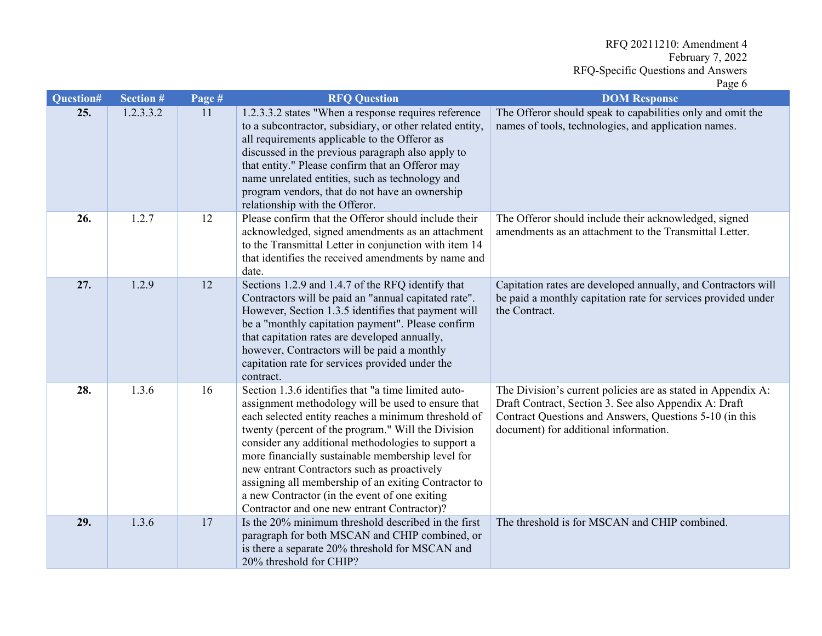| Question# | <b>Section #</b> | Page # | <b>RFQ Question</b>                                                                                                                                                                                                                                                                                                                                                                                                                                                                                                                      | <b>DOM Response</b>                                                                                                                                                                                                       |
|-----------|------------------|--------|------------------------------------------------------------------------------------------------------------------------------------------------------------------------------------------------------------------------------------------------------------------------------------------------------------------------------------------------------------------------------------------------------------------------------------------------------------------------------------------------------------------------------------------|---------------------------------------------------------------------------------------------------------------------------------------------------------------------------------------------------------------------------|
| 25.       | 1.2.3.3.2        | 11     | 1.2.3.3.2 states "When a response requires reference"<br>to a subcontractor, subsidiary, or other related entity,<br>all requirements applicable to the Offeror as<br>discussed in the previous paragraph also apply to<br>that entity." Please confirm that an Offeror may<br>name unrelated entities, such as technology and<br>program vendors, that do not have an ownership<br>relationship with the Offeror.                                                                                                                       | The Offeror should speak to capabilities only and omit the<br>names of tools, technologies, and application names.                                                                                                        |
| 26.       | 1.2.7            | 12     | Please confirm that the Offeror should include their<br>acknowledged, signed amendments as an attachment<br>to the Transmittal Letter in conjunction with item 14<br>that identifies the received amendments by name and<br>date.                                                                                                                                                                                                                                                                                                        | The Offeror should include their acknowledged, signed<br>amendments as an attachment to the Transmittal Letter.                                                                                                           |
| 27.       | 1.2.9            | 12     | Sections 1.2.9 and 1.4.7 of the RFQ identify that<br>Contractors will be paid an "annual capitated rate".<br>However, Section 1.3.5 identifies that payment will<br>be a "monthly capitation payment". Please confirm<br>that capitation rates are developed annually,<br>however, Contractors will be paid a monthly<br>capitation rate for services provided under the<br>contract.                                                                                                                                                    | Capitation rates are developed annually, and Contractors will<br>be paid a monthly capitation rate for services provided under<br>the Contract.                                                                           |
| 28.       | 1.3.6            | 16     | Section 1.3.6 identifies that "a time limited auto-<br>assignment methodology will be used to ensure that<br>each selected entity reaches a minimum threshold of<br>twenty (percent of the program." Will the Division<br>consider any additional methodologies to support a<br>more financially sustainable membership level for<br>new entrant Contractors such as proactively<br>assigning all membership of an exiting Contractor to<br>a new Contractor (in the event of one exiting<br>Contractor and one new entrant Contractor)? | The Division's current policies are as stated in Appendix A:<br>Draft Contract, Section 3. See also Appendix A: Draft<br>Contract Questions and Answers, Questions 5-10 (in this<br>document) for additional information. |
| 29.       | 1.3.6            | 17     | Is the 20% minimum threshold described in the first<br>paragraph for both MSCAN and CHIP combined, or<br>is there a separate 20% threshold for MSCAN and<br>20% threshold for CHIP?                                                                                                                                                                                                                                                                                                                                                      | The threshold is for MSCAN and CHIP combined.                                                                                                                                                                             |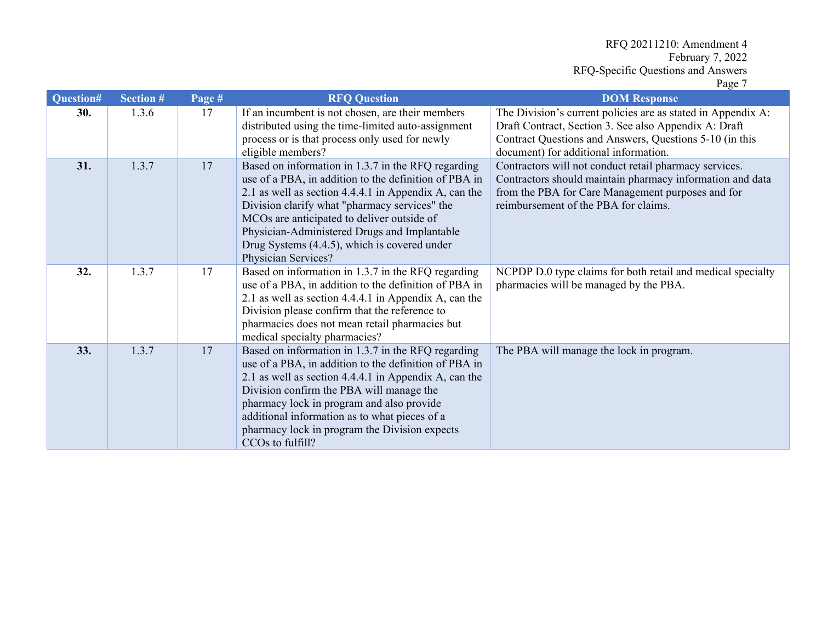|           |           |        |                                                                                                                                                                                                                                                                                                                                                                                            | $1 \, \text{age}$                                                                                                                                                                                                         |
|-----------|-----------|--------|--------------------------------------------------------------------------------------------------------------------------------------------------------------------------------------------------------------------------------------------------------------------------------------------------------------------------------------------------------------------------------------------|---------------------------------------------------------------------------------------------------------------------------------------------------------------------------------------------------------------------------|
| Question# | Section # | Page # | <b>RFQ Question</b>                                                                                                                                                                                                                                                                                                                                                                        | <b>DOM Response</b>                                                                                                                                                                                                       |
| 30.       | 1.3.6     | 17     | If an incumbent is not chosen, are their members<br>distributed using the time-limited auto-assignment<br>process or is that process only used for newly<br>eligible members?                                                                                                                                                                                                              | The Division's current policies are as stated in Appendix A:<br>Draft Contract, Section 3. See also Appendix A: Draft<br>Contract Questions and Answers, Questions 5-10 (in this<br>document) for additional information. |
| 31.       | 1.3.7     | 17     | Based on information in 1.3.7 in the RFQ regarding<br>use of a PBA, in addition to the definition of PBA in<br>2.1 as well as section 4.4.4.1 in Appendix A, can the<br>Division clarify what "pharmacy services" the<br>MCOs are anticipated to deliver outside of<br>Physician-Administered Drugs and Implantable<br>Drug Systems (4.4.5), which is covered under<br>Physician Services? | Contractors will not conduct retail pharmacy services.<br>Contractors should maintain pharmacy information and data<br>from the PBA for Care Management purposes and for<br>reimbursement of the PBA for claims.          |
| 32.       | 1.3.7     | 17     | Based on information in 1.3.7 in the RFQ regarding<br>use of a PBA, in addition to the definition of PBA in<br>2.1 as well as section 4.4.4.1 in Appendix A, can the<br>Division please confirm that the reference to<br>pharmacies does not mean retail pharmacies but<br>medical specialty pharmacies?                                                                                   | NCPDP D.0 type claims for both retail and medical specialty<br>pharmacies will be managed by the PBA.                                                                                                                     |
| 33.       | 1.3.7     | 17     | Based on information in 1.3.7 in the RFQ regarding<br>use of a PBA, in addition to the definition of PBA in<br>2.1 as well as section 4.4.4.1 in Appendix A, can the<br>Division confirm the PBA will manage the<br>pharmacy lock in program and also provide<br>additional information as to what pieces of a<br>pharmacy lock in program the Division expects<br>CCOs to fulfill?        | The PBA will manage the lock in program.                                                                                                                                                                                  |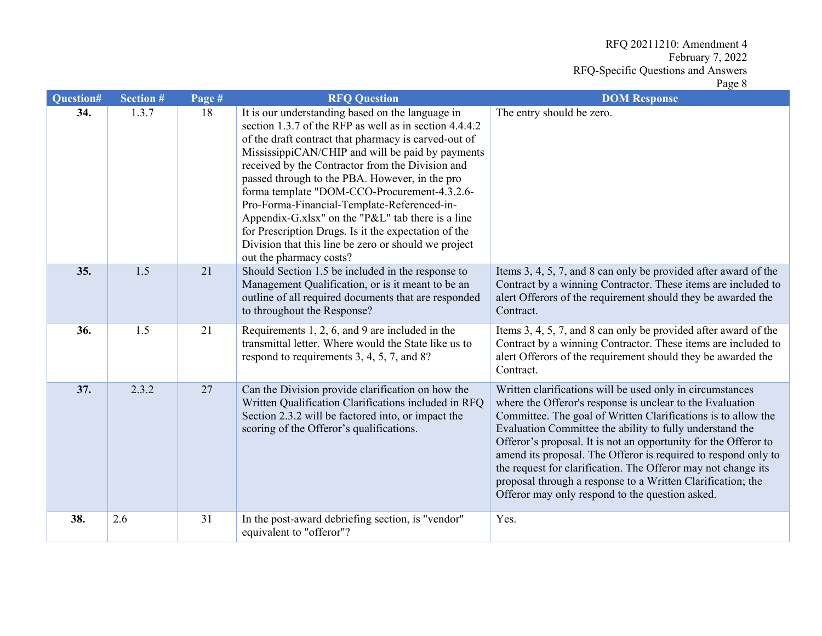| Question# | <b>Section #</b> | Page # | <b>RFQ Question</b>                                                                                                                                                                                                                                                                                                                                                                                                                                                                                                                                                                                                         | <b>DOM Response</b>                                                                                                                                                                                                                                                                                                                                                                                                                                                                                                                                                         |
|-----------|------------------|--------|-----------------------------------------------------------------------------------------------------------------------------------------------------------------------------------------------------------------------------------------------------------------------------------------------------------------------------------------------------------------------------------------------------------------------------------------------------------------------------------------------------------------------------------------------------------------------------------------------------------------------------|-----------------------------------------------------------------------------------------------------------------------------------------------------------------------------------------------------------------------------------------------------------------------------------------------------------------------------------------------------------------------------------------------------------------------------------------------------------------------------------------------------------------------------------------------------------------------------|
| 34.       | 1.3.7            | 18     | It is our understanding based on the language in<br>section 1.3.7 of the RFP as well as in section 4.4.4.2<br>of the draft contract that pharmacy is carved-out of<br>MississippiCAN/CHIP and will be paid by payments<br>received by the Contractor from the Division and<br>passed through to the PBA. However, in the pro<br>forma template "DOM-CCO-Procurement-4.3.2.6-<br>Pro-Forma-Financial-Template-Referenced-in-<br>Appendix-G.xlsx" on the "P&L" tab there is a line<br>for Prescription Drugs. Is it the expectation of the<br>Division that this line be zero or should we project<br>out the pharmacy costs? | The entry should be zero.                                                                                                                                                                                                                                                                                                                                                                                                                                                                                                                                                   |
| 35.       | 1.5              | 21     | Should Section 1.5 be included in the response to<br>Management Qualification, or is it meant to be an<br>outline of all required documents that are responded<br>to throughout the Response?                                                                                                                                                                                                                                                                                                                                                                                                                               | Items 3, 4, 5, 7, and 8 can only be provided after award of the<br>Contract by a winning Contractor. These items are included to<br>alert Offerors of the requirement should they be awarded the<br>Contract.                                                                                                                                                                                                                                                                                                                                                               |
| 36.       | 1.5              | 21     | Requirements $1, 2, 6$ , and $9$ are included in the<br>transmittal letter. Where would the State like us to<br>respond to requirements 3, 4, 5, 7, and 8?                                                                                                                                                                                                                                                                                                                                                                                                                                                                  | Items 3, 4, 5, 7, and 8 can only be provided after award of the<br>Contract by a winning Contractor. These items are included to<br>alert Offerors of the requirement should they be awarded the<br>Contract.                                                                                                                                                                                                                                                                                                                                                               |
| 37.       | 2.3.2            | 27     | Can the Division provide clarification on how the<br>Written Qualification Clarifications included in RFQ<br>Section 2.3.2 will be factored into, or impact the<br>scoring of the Offeror's qualifications.                                                                                                                                                                                                                                                                                                                                                                                                                 | Written clarifications will be used only in circumstances<br>where the Offeror's response is unclear to the Evaluation<br>Committee. The goal of Written Clarifications is to allow the<br>Evaluation Committee the ability to fully understand the<br>Offeror's proposal. It is not an opportunity for the Offeror to<br>amend its proposal. The Offeror is required to respond only to<br>the request for clarification. The Offeror may not change its<br>proposal through a response to a Written Clarification; the<br>Offeror may only respond to the question asked. |
| 38.       | 2.6              | 31     | In the post-award debriefing section, is "vendor"<br>equivalent to "offeror"?                                                                                                                                                                                                                                                                                                                                                                                                                                                                                                                                               | Yes.                                                                                                                                                                                                                                                                                                                                                                                                                                                                                                                                                                        |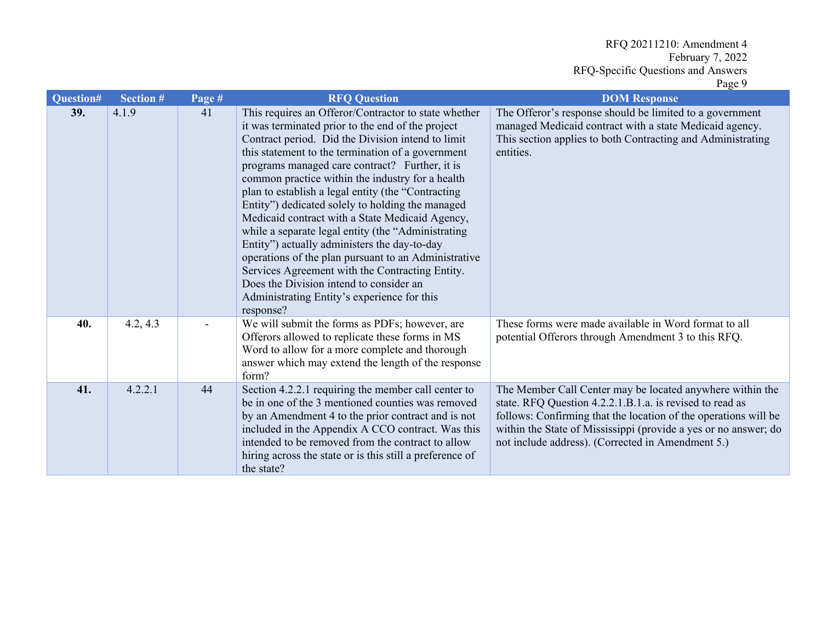| Question# | <b>Section #</b> | Page # | <b>RFQ Question</b>                                                                                                                                                                                                                                                                                                                                                                                                                                                                                                                                                                                                                                                                                                                                                                                            | <b>DOM Response</b>                                                                                                                                                                                                                                                                                              |
|-----------|------------------|--------|----------------------------------------------------------------------------------------------------------------------------------------------------------------------------------------------------------------------------------------------------------------------------------------------------------------------------------------------------------------------------------------------------------------------------------------------------------------------------------------------------------------------------------------------------------------------------------------------------------------------------------------------------------------------------------------------------------------------------------------------------------------------------------------------------------------|------------------------------------------------------------------------------------------------------------------------------------------------------------------------------------------------------------------------------------------------------------------------------------------------------------------|
| 39.       | 4.1.9            | 41     | This requires an Offeror/Contractor to state whether<br>it was terminated prior to the end of the project<br>Contract period. Did the Division intend to limit<br>this statement to the termination of a government<br>programs managed care contract? Further, it is<br>common practice within the industry for a health<br>plan to establish a legal entity (the "Contracting<br>Entity") dedicated solely to holding the managed<br>Medicaid contract with a State Medicaid Agency,<br>while a separate legal entity (the "Administrating<br>Entity") actually administers the day-to-day<br>operations of the plan pursuant to an Administrative<br>Services Agreement with the Contracting Entity.<br>Does the Division intend to consider an<br>Administrating Entity's experience for this<br>response? | The Offeror's response should be limited to a government<br>managed Medicaid contract with a state Medicaid agency.<br>This section applies to both Contracting and Administrating<br>entities.                                                                                                                  |
| 40.       | 4.2, 4.3         |        | We will submit the forms as PDFs; however, are<br>Offerors allowed to replicate these forms in MS<br>Word to allow for a more complete and thorough<br>answer which may extend the length of the response<br>form?                                                                                                                                                                                                                                                                                                                                                                                                                                                                                                                                                                                             | These forms were made available in Word format to all<br>potential Offerors through Amendment 3 to this RFQ.                                                                                                                                                                                                     |
| 41.       | 4.2.2.1          | 44     | Section 4.2.2.1 requiring the member call center to<br>be in one of the 3 mentioned counties was removed<br>by an Amendment 4 to the prior contract and is not<br>included in the Appendix A CCO contract. Was this<br>intended to be removed from the contract to allow<br>hiring across the state or is this still a preference of<br>the state?                                                                                                                                                                                                                                                                                                                                                                                                                                                             | The Member Call Center may be located anywhere within the<br>state. RFQ Question 4.2.2.1.B.1.a. is revised to read as<br>follows: Confirming that the location of the operations will be<br>within the State of Mississippi (provide a yes or no answer; do<br>not include address). (Corrected in Amendment 5.) |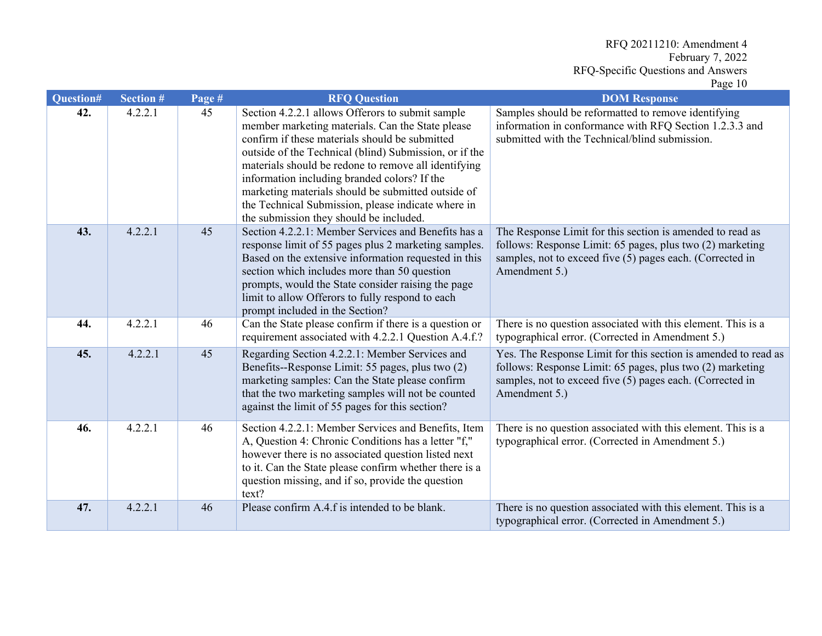| Question# | <b>Section #</b> | Page # | <b>RFQ Question</b>                                                                                                                                                                                                                                                                                                                                                                                                                                                             | <b>DOM Response</b>                                                                                                                                                                                       |
|-----------|------------------|--------|---------------------------------------------------------------------------------------------------------------------------------------------------------------------------------------------------------------------------------------------------------------------------------------------------------------------------------------------------------------------------------------------------------------------------------------------------------------------------------|-----------------------------------------------------------------------------------------------------------------------------------------------------------------------------------------------------------|
| 42.       | 4.2.2.1          | 45     | Section 4.2.2.1 allows Offerors to submit sample<br>member marketing materials. Can the State please<br>confirm if these materials should be submitted<br>outside of the Technical (blind) Submission, or if the<br>materials should be redone to remove all identifying<br>information including branded colors? If the<br>marketing materials should be submitted outside of<br>the Technical Submission, please indicate where in<br>the submission they should be included. | Samples should be reformatted to remove identifying<br>information in conformance with RFQ Section 1.2.3.3 and<br>submitted with the Technical/blind submission.                                          |
| 43.       | 4.2.2.1          | 45     | Section 4.2.2.1: Member Services and Benefits has a<br>response limit of 55 pages plus 2 marketing samples.<br>Based on the extensive information requested in this<br>section which includes more than 50 question<br>prompts, would the State consider raising the page<br>limit to allow Offerors to fully respond to each<br>prompt included in the Section?                                                                                                                | The Response Limit for this section is amended to read as<br>follows: Response Limit: 65 pages, plus two (2) marketing<br>samples, not to exceed five (5) pages each. (Corrected in<br>Amendment 5.)      |
| 44.       | 4.2.2.1          | 46     | Can the State please confirm if there is a question or<br>requirement associated with 4.2.2.1 Question A.4.f.?                                                                                                                                                                                                                                                                                                                                                                  | There is no question associated with this element. This is a<br>typographical error. (Corrected in Amendment 5.)                                                                                          |
| 45.       | 4.2.2.1          | 45     | Regarding Section 4.2.2.1: Member Services and<br>Benefits--Response Limit: 55 pages, plus two (2)<br>marketing samples: Can the State please confirm<br>that the two marketing samples will not be counted<br>against the limit of 55 pages for this section?                                                                                                                                                                                                                  | Yes. The Response Limit for this section is amended to read as<br>follows: Response Limit: 65 pages, plus two (2) marketing<br>samples, not to exceed five (5) pages each. (Corrected in<br>Amendment 5.) |
| 46.       | 4.2.2.1          | 46     | Section 4.2.2.1: Member Services and Benefits, Item<br>A, Question 4: Chronic Conditions has a letter "f,"<br>however there is no associated question listed next<br>to it. Can the State please confirm whether there is a<br>question missing, and if so, provide the question<br>text?                                                                                                                                                                                       | There is no question associated with this element. This is a<br>typographical error. (Corrected in Amendment 5.)                                                                                          |
| 47.       | 4.2.2.1          | 46     | Please confirm A.4.f is intended to be blank.                                                                                                                                                                                                                                                                                                                                                                                                                                   | There is no question associated with this element. This is a<br>typographical error. (Corrected in Amendment 5.)                                                                                          |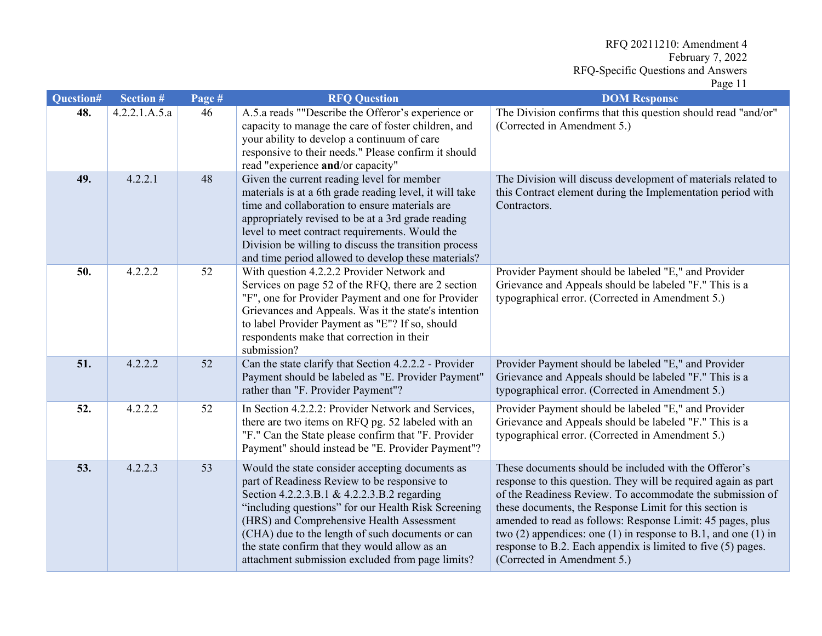| Question# | <b>Section #</b> | Page # | <b>RFQ Question</b>                                                                                                                                                                                                                                                                                                                                                                                         | 145011<br><b>DOM Response</b>                                                                                                                                                                                                                                                                                                                                                                                                                                                        |
|-----------|------------------|--------|-------------------------------------------------------------------------------------------------------------------------------------------------------------------------------------------------------------------------------------------------------------------------------------------------------------------------------------------------------------------------------------------------------------|--------------------------------------------------------------------------------------------------------------------------------------------------------------------------------------------------------------------------------------------------------------------------------------------------------------------------------------------------------------------------------------------------------------------------------------------------------------------------------------|
| 48.       | 4.2.2.1.A.5.a    | 46     | A.5.a reads ""Describe the Offeror's experience or<br>capacity to manage the care of foster children, and<br>your ability to develop a continuum of care<br>responsive to their needs." Please confirm it should<br>read "experience and/or capacity"                                                                                                                                                       | The Division confirms that this question should read "and/or"<br>(Corrected in Amendment 5.)                                                                                                                                                                                                                                                                                                                                                                                         |
| 49.       | 4.2.2.1          | 48     | Given the current reading level for member<br>materials is at a 6th grade reading level, it will take<br>time and collaboration to ensure materials are<br>appropriately revised to be at a 3rd grade reading<br>level to meet contract requirements. Would the<br>Division be willing to discuss the transition process<br>and time period allowed to develop these materials?                             | The Division will discuss development of materials related to<br>this Contract element during the Implementation period with<br>Contractors.                                                                                                                                                                                                                                                                                                                                         |
| 50.       | 4.2.2.2          | 52     | With question 4.2.2.2 Provider Network and<br>Services on page 52 of the RFQ, there are 2 section<br>"F", one for Provider Payment and one for Provider<br>Grievances and Appeals. Was it the state's intention<br>to label Provider Payment as "E"? If so, should<br>respondents make that correction in their<br>submission?                                                                              | Provider Payment should be labeled "E," and Provider<br>Grievance and Appeals should be labeled "F." This is a<br>typographical error. (Corrected in Amendment 5.)                                                                                                                                                                                                                                                                                                                   |
| 51.       | 4.2.2.2          | 52     | Can the state clarify that Section 4.2.2.2 - Provider<br>Payment should be labeled as "E. Provider Payment"<br>rather than "F. Provider Payment"?                                                                                                                                                                                                                                                           | Provider Payment should be labeled "E," and Provider<br>Grievance and Appeals should be labeled "F." This is a<br>typographical error. (Corrected in Amendment 5.)                                                                                                                                                                                                                                                                                                                   |
| 52.       | 4.2.2.2          | 52     | In Section 4.2.2.2: Provider Network and Services,<br>there are two items on RFQ pg. 52 labeled with an<br>"F." Can the State please confirm that "F. Provider"<br>Payment" should instead be "E. Provider Payment"?                                                                                                                                                                                        | Provider Payment should be labeled "E," and Provider<br>Grievance and Appeals should be labeled "F." This is a<br>typographical error. (Corrected in Amendment 5.)                                                                                                                                                                                                                                                                                                                   |
| 53.       | 4.2.2.3          | 53     | Would the state consider accepting documents as<br>part of Readiness Review to be responsive to<br>Section 4.2.2.3.B.1 & 4.2.2.3.B.2 regarding<br>"including questions" for our Health Risk Screening<br>(HRS) and Comprehensive Health Assessment<br>(CHA) due to the length of such documents or can<br>the state confirm that they would allow as an<br>attachment submission excluded from page limits? | These documents should be included with the Offeror's<br>response to this question. They will be required again as part<br>of the Readiness Review. To accommodate the submission of<br>these documents, the Response Limit for this section is<br>amended to read as follows: Response Limit: 45 pages, plus<br>two $(2)$ appendices: one $(1)$ in response to B.1, and one $(1)$ in<br>response to B.2. Each appendix is limited to five (5) pages.<br>(Corrected in Amendment 5.) |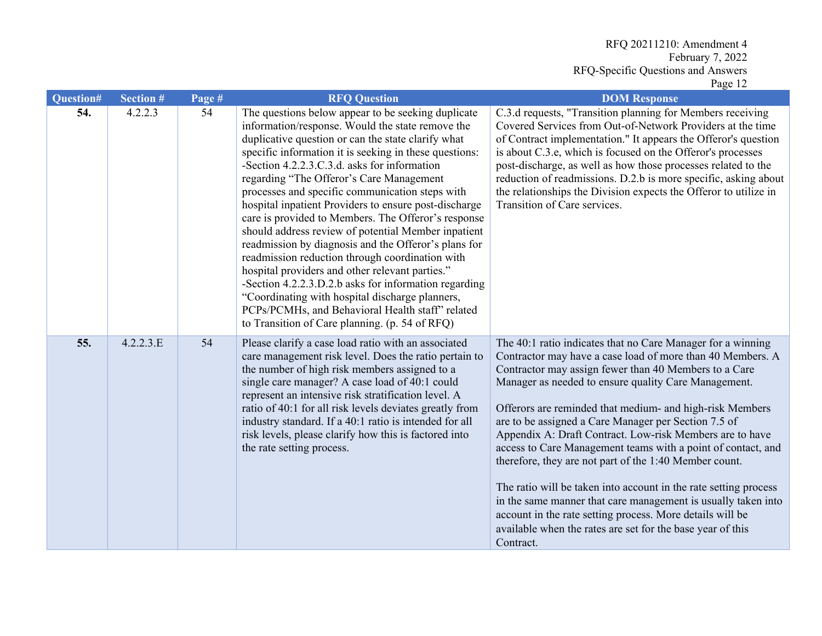| Question# | <b>Section #</b> | Page # | <b>RFQ Question</b>                                                                                                                                                                                                                                                                                                                                                                                                                                                                                                                                                                                                                                                                                                                                                                                                                                                                                                          | <b>DOM Response</b>                                                                                                                                                                                                                                                                                                                                                                                                                                                                                                                                                                                                                                                                                                                                                                                                               |
|-----------|------------------|--------|------------------------------------------------------------------------------------------------------------------------------------------------------------------------------------------------------------------------------------------------------------------------------------------------------------------------------------------------------------------------------------------------------------------------------------------------------------------------------------------------------------------------------------------------------------------------------------------------------------------------------------------------------------------------------------------------------------------------------------------------------------------------------------------------------------------------------------------------------------------------------------------------------------------------------|-----------------------------------------------------------------------------------------------------------------------------------------------------------------------------------------------------------------------------------------------------------------------------------------------------------------------------------------------------------------------------------------------------------------------------------------------------------------------------------------------------------------------------------------------------------------------------------------------------------------------------------------------------------------------------------------------------------------------------------------------------------------------------------------------------------------------------------|
| 54.       | 4.2.2.3          | 54     | The questions below appear to be seeking duplicate<br>information/response. Would the state remove the<br>duplicative question or can the state clarify what<br>specific information it is seeking in these questions:<br>-Section 4.2.2.3.C.3.d. asks for information<br>regarding "The Offeror's Care Management<br>processes and specific communication steps with<br>hospital inpatient Providers to ensure post-discharge<br>care is provided to Members. The Offeror's response<br>should address review of potential Member inpatient<br>readmission by diagnosis and the Offeror's plans for<br>readmission reduction through coordination with<br>hospital providers and other relevant parties."<br>-Section 4.2.2.3.D.2.b asks for information regarding<br>"Coordinating with hospital discharge planners,<br>PCPs/PCMHs, and Behavioral Health staff" related<br>to Transition of Care planning. (p. 54 of RFQ) | C.3.d requests, "Transition planning for Members receiving<br>Covered Services from Out-of-Network Providers at the time<br>of Contract implementation." It appears the Offeror's question<br>is about C.3.e, which is focused on the Offeror's processes<br>post-discharge, as well as how those processes related to the<br>reduction of readmissions. D.2.b is more specific, asking about<br>the relationships the Division expects the Offeror to utilize in<br>Transition of Care services.                                                                                                                                                                                                                                                                                                                                 |
| 55.       | 4.2.2.3.E        | 54     | Please clarify a case load ratio with an associated<br>care management risk level. Does the ratio pertain to<br>the number of high risk members assigned to a<br>single care manager? A case load of 40:1 could<br>represent an intensive risk stratification level. A<br>ratio of 40:1 for all risk levels deviates greatly from<br>industry standard. If a 40:1 ratio is intended for all<br>risk levels, please clarify how this is factored into<br>the rate setting process.                                                                                                                                                                                                                                                                                                                                                                                                                                            | The 40:1 ratio indicates that no Care Manager for a winning<br>Contractor may have a case load of more than 40 Members. A<br>Contractor may assign fewer than 40 Members to a Care<br>Manager as needed to ensure quality Care Management.<br>Offerors are reminded that medium- and high-risk Members<br>are to be assigned a Care Manager per Section 7.5 of<br>Appendix A: Draft Contract. Low-risk Members are to have<br>access to Care Management teams with a point of contact, and<br>therefore, they are not part of the 1:40 Member count.<br>The ratio will be taken into account in the rate setting process<br>in the same manner that care management is usually taken into<br>account in the rate setting process. More details will be<br>available when the rates are set for the base year of this<br>Contract. |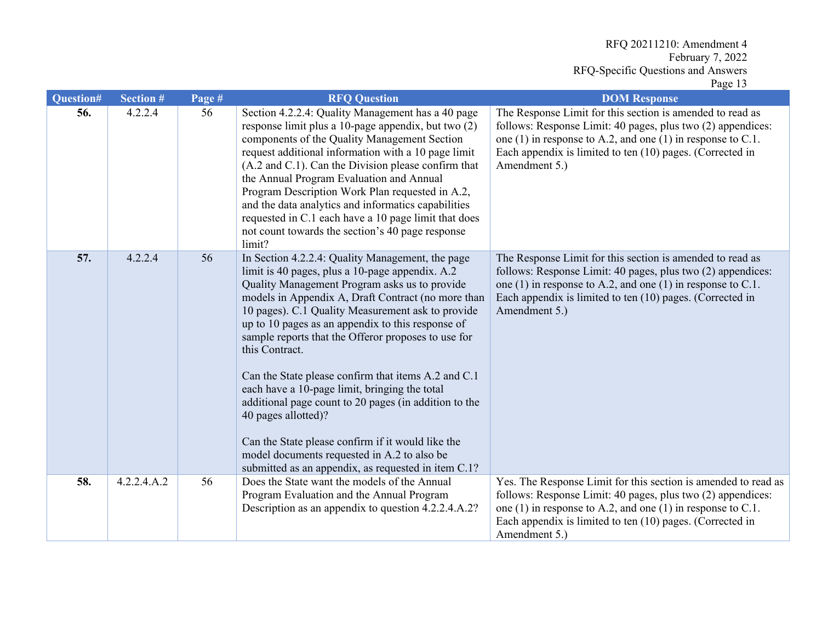| Question# | Section #   | Page # | <b>RFQ Question</b>                                                                                                                                                                                                                                                                                                                                                                                                                                                                                                                                                                                                                                                                                                                              | <b>DOM Response</b>                                                                                                                                                                                                                                                            |
|-----------|-------------|--------|--------------------------------------------------------------------------------------------------------------------------------------------------------------------------------------------------------------------------------------------------------------------------------------------------------------------------------------------------------------------------------------------------------------------------------------------------------------------------------------------------------------------------------------------------------------------------------------------------------------------------------------------------------------------------------------------------------------------------------------------------|--------------------------------------------------------------------------------------------------------------------------------------------------------------------------------------------------------------------------------------------------------------------------------|
| 56.       | 4.2.2.4     | 56     | Section 4.2.2.4: Quality Management has a 40 page<br>response limit plus a 10-page appendix, but two (2)<br>components of the Quality Management Section<br>request additional information with a 10 page limit<br>(A.2 and C.1). Can the Division please confirm that<br>the Annual Program Evaluation and Annual<br>Program Description Work Plan requested in A.2,<br>and the data analytics and informatics capabilities<br>requested in C.1 each have a 10 page limit that does<br>not count towards the section's 40 page response<br>limit?                                                                                                                                                                                               | The Response Limit for this section is amended to read as<br>follows: Response Limit: 40 pages, plus two (2) appendices:<br>one (1) in response to A.2, and one (1) in response to C.1.<br>Each appendix is limited to ten $(10)$ pages. (Corrected in<br>Amendment 5.)        |
| 57.       | 4.2.2.4     | 56     | In Section 4.2.2.4: Quality Management, the page<br>limit is 40 pages, plus a 10-page appendix. A.2<br>Quality Management Program asks us to provide<br>models in Appendix A, Draft Contract (no more than<br>10 pages). C.1 Quality Measurement ask to provide<br>up to 10 pages as an appendix to this response of<br>sample reports that the Offeror proposes to use for<br>this Contract.<br>Can the State please confirm that items A.2 and C.1<br>each have a 10-page limit, bringing the total<br>additional page count to 20 pages (in addition to the<br>40 pages allotted)?<br>Can the State please confirm if it would like the<br>model documents requested in A.2 to also be<br>submitted as an appendix, as requested in item C.1? | The Response Limit for this section is amended to read as<br>follows: Response Limit: 40 pages, plus two (2) appendices:<br>one (1) in response to A.2, and one (1) in response to C.1.<br>Each appendix is limited to ten $(10)$ pages. (Corrected in<br>Amendment 5.)        |
| 58.       | 4.2.2.4.A.2 | 56     | Does the State want the models of the Annual<br>Program Evaluation and the Annual Program<br>Description as an appendix to question 4.2.2.4.A.2?                                                                                                                                                                                                                                                                                                                                                                                                                                                                                                                                                                                                 | Yes. The Response Limit for this section is amended to read as<br>follows: Response Limit: 40 pages, plus two (2) appendices:<br>one $(1)$ in response to A.2, and one $(1)$ in response to C.1.<br>Each appendix is limited to ten (10) pages. (Corrected in<br>Amendment 5.) |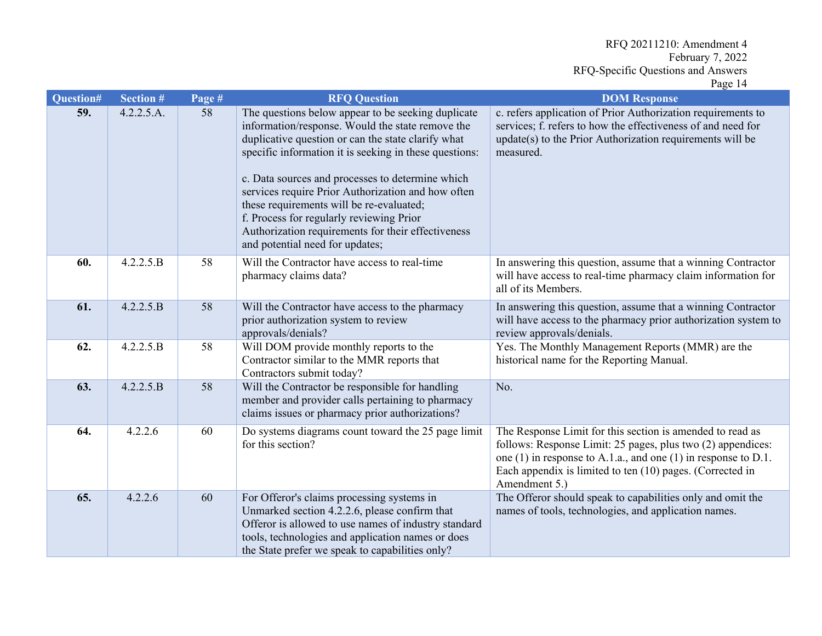| Question# | <b>Section #</b> | Page # | <b>RFQ Question</b>                                                                                                                                                                                                                                                                                                                                                                                                                                                                                               | <b>DOM Response</b>                                                                                                                                                                                                                                                      |
|-----------|------------------|--------|-------------------------------------------------------------------------------------------------------------------------------------------------------------------------------------------------------------------------------------------------------------------------------------------------------------------------------------------------------------------------------------------------------------------------------------------------------------------------------------------------------------------|--------------------------------------------------------------------------------------------------------------------------------------------------------------------------------------------------------------------------------------------------------------------------|
| 59.       | 4.2.2.5.A.       | 58     | The questions below appear to be seeking duplicate<br>information/response. Would the state remove the<br>duplicative question or can the state clarify what<br>specific information it is seeking in these questions:<br>c. Data sources and processes to determine which<br>services require Prior Authorization and how often<br>these requirements will be re-evaluated;<br>f. Process for regularly reviewing Prior<br>Authorization requirements for their effectiveness<br>and potential need for updates; | c. refers application of Prior Authorization requirements to<br>services; f. refers to how the effectiveness of and need for<br>update(s) to the Prior Authorization requirements will be<br>measured.                                                                   |
| 60.       | 4.2.2.5.B        | 58     | Will the Contractor have access to real-time<br>pharmacy claims data?                                                                                                                                                                                                                                                                                                                                                                                                                                             | In answering this question, assume that a winning Contractor<br>will have access to real-time pharmacy claim information for<br>all of its Members.                                                                                                                      |
| 61.       | 4.2.2.5.B        | 58     | Will the Contractor have access to the pharmacy<br>prior authorization system to review<br>approvals/denials?                                                                                                                                                                                                                                                                                                                                                                                                     | In answering this question, assume that a winning Contractor<br>will have access to the pharmacy prior authorization system to<br>review approvals/denials.                                                                                                              |
| 62.       | 4.2.2.5.B        | 58     | Will DOM provide monthly reports to the<br>Contractor similar to the MMR reports that<br>Contractors submit today?                                                                                                                                                                                                                                                                                                                                                                                                | Yes. The Monthly Management Reports (MMR) are the<br>historical name for the Reporting Manual.                                                                                                                                                                           |
| 63.       | 4.2.2.5.B        | 58     | Will the Contractor be responsible for handling<br>member and provider calls pertaining to pharmacy<br>claims issues or pharmacy prior authorizations?                                                                                                                                                                                                                                                                                                                                                            | No.                                                                                                                                                                                                                                                                      |
| 64.       | 4.2.2.6          | 60     | Do systems diagrams count toward the 25 page limit<br>for this section?                                                                                                                                                                                                                                                                                                                                                                                                                                           | The Response Limit for this section is amended to read as<br>follows: Response Limit: 25 pages, plus two (2) appendices:<br>one (1) in response to A.1.a., and one (1) in response to D.1.<br>Each appendix is limited to ten (10) pages. (Corrected in<br>Amendment 5.) |
| 65.       | 4.2.2.6          | 60     | For Offeror's claims processing systems in<br>Unmarked section 4.2.2.6, please confirm that<br>Offeror is allowed to use names of industry standard<br>tools, technologies and application names or does<br>the State prefer we speak to capabilities only?                                                                                                                                                                                                                                                       | The Offeror should speak to capabilities only and omit the<br>names of tools, technologies, and application names.                                                                                                                                                       |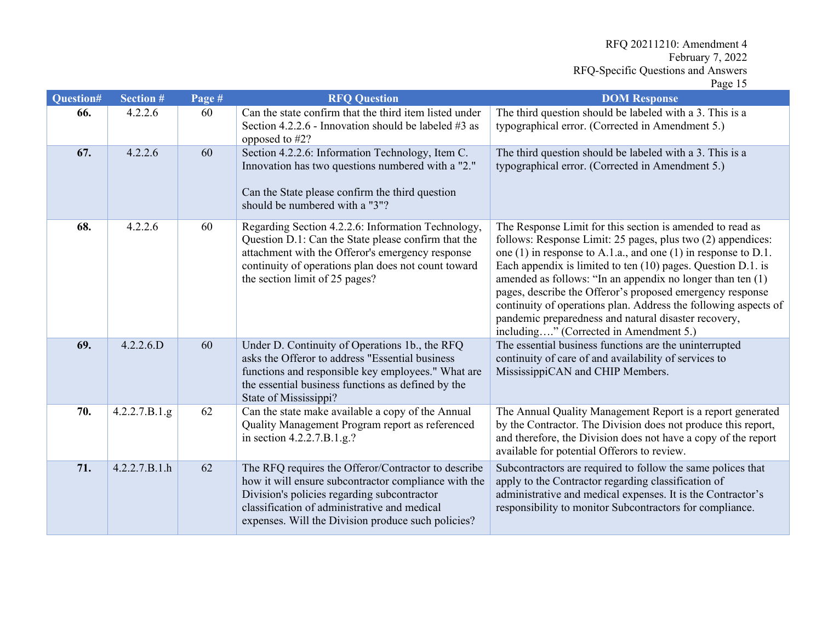|           |                |        |                                                                                                                                                                                                                                                                  | 145015                                                                                                                                                                                                                                                                                                                                                                                                                                                                                                                                                           |
|-----------|----------------|--------|------------------------------------------------------------------------------------------------------------------------------------------------------------------------------------------------------------------------------------------------------------------|------------------------------------------------------------------------------------------------------------------------------------------------------------------------------------------------------------------------------------------------------------------------------------------------------------------------------------------------------------------------------------------------------------------------------------------------------------------------------------------------------------------------------------------------------------------|
| Question# | Section #      | Page # | <b>RFQ Question</b>                                                                                                                                                                                                                                              | <b>DOM Response</b>                                                                                                                                                                                                                                                                                                                                                                                                                                                                                                                                              |
| 66.       | 4.2.2.6        | 60     | Can the state confirm that the third item listed under<br>Section 4.2.2.6 - Innovation should be labeled #3 as<br>opposed to #2?                                                                                                                                 | The third question should be labeled with a 3. This is a<br>typographical error. (Corrected in Amendment 5.)                                                                                                                                                                                                                                                                                                                                                                                                                                                     |
| 67.       | 4.2.2.6        | 60     | Section 4.2.2.6: Information Technology, Item C.<br>Innovation has two questions numbered with a "2."<br>Can the State please confirm the third question<br>should be numbered with a "3"?                                                                       | The third question should be labeled with a 3. This is a<br>typographical error. (Corrected in Amendment 5.)                                                                                                                                                                                                                                                                                                                                                                                                                                                     |
| 68.       | 4.2.2.6        | 60     | Regarding Section 4.2.2.6: Information Technology,<br>Question D.1: Can the State please confirm that the<br>attachment with the Offeror's emergency response<br>continuity of operations plan does not count toward<br>the section limit of 25 pages?           | The Response Limit for this section is amended to read as<br>follows: Response Limit: 25 pages, plus two (2) appendices:<br>one $(1)$ in response to A.1.a., and one $(1)$ in response to D.1.<br>Each appendix is limited to ten $(10)$ pages. Question D.1. is<br>amended as follows: "In an appendix no longer than ten (1)<br>pages, describe the Offeror's proposed emergency response<br>continuity of operations plan. Address the following aspects of<br>pandemic preparedness and natural disaster recovery,<br>including" (Corrected in Amendment 5.) |
| 69.       | 4.2.2.6.D      | 60     | Under D. Continuity of Operations 1b., the RFQ<br>asks the Offeror to address "Essential business<br>functions and responsible key employees." What are<br>the essential business functions as defined by the<br>State of Mississippi?                           | The essential business functions are the uninterrupted<br>continuity of care of and availability of services to<br>MississippiCAN and CHIP Members.                                                                                                                                                                                                                                                                                                                                                                                                              |
| 70.       | 4.2.2.7.B.1.g. | 62     | Can the state make available a copy of the Annual<br>Quality Management Program report as referenced<br>in section $4.2.2.7.B.1.g.$ ?                                                                                                                            | The Annual Quality Management Report is a report generated<br>by the Contractor. The Division does not produce this report,<br>and therefore, the Division does not have a copy of the report<br>available for potential Offerors to review.                                                                                                                                                                                                                                                                                                                     |
| 71.       | 4.2.2.7.B.1.h  | 62     | The RFQ requires the Offeror/Contractor to describe<br>how it will ensure subcontractor compliance with the<br>Division's policies regarding subcontractor<br>classification of administrative and medical<br>expenses. Will the Division produce such policies? | Subcontractors are required to follow the same polices that<br>apply to the Contractor regarding classification of<br>administrative and medical expenses. It is the Contractor's<br>responsibility to monitor Subcontractors for compliance.                                                                                                                                                                                                                                                                                                                    |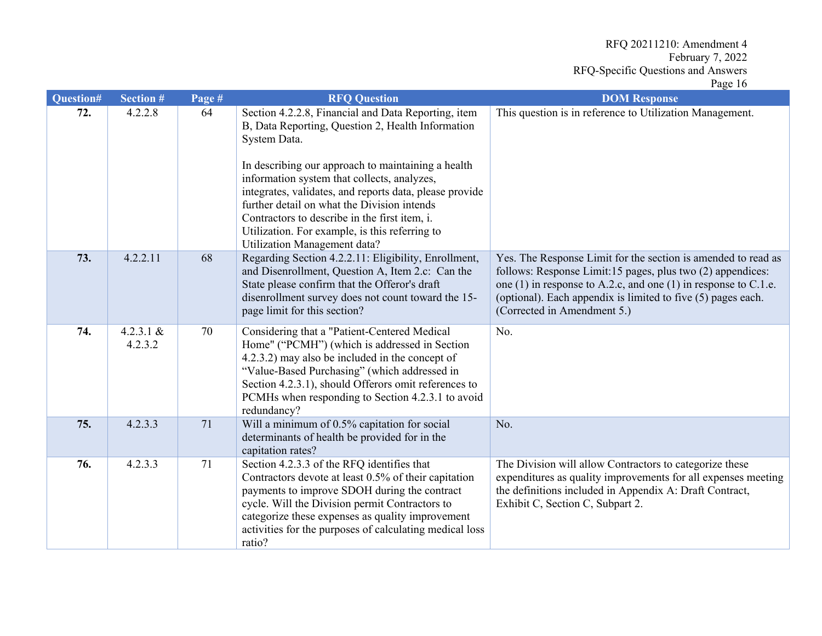| Question# | <b>Section #</b>       | Page # | <b>RFQ Question</b>                                                                                                                                                                                                                                                                                                                            | <b>DOM Response</b>                                                                                                                                                                                                                                                                           |
|-----------|------------------------|--------|------------------------------------------------------------------------------------------------------------------------------------------------------------------------------------------------------------------------------------------------------------------------------------------------------------------------------------------------|-----------------------------------------------------------------------------------------------------------------------------------------------------------------------------------------------------------------------------------------------------------------------------------------------|
| 72.       | 4.2.2.8                | 64     | Section 4.2.2.8, Financial and Data Reporting, item<br>B, Data Reporting, Question 2, Health Information<br>System Data.                                                                                                                                                                                                                       | This question is in reference to Utilization Management.                                                                                                                                                                                                                                      |
|           |                        |        | In describing our approach to maintaining a health<br>information system that collects, analyzes,<br>integrates, validates, and reports data, please provide<br>further detail on what the Division intends<br>Contractors to describe in the first item, i.<br>Utilization. For example, is this referring to<br>Utilization Management data? |                                                                                                                                                                                                                                                                                               |
| 73.       | 4.2.2.11               | 68     | Regarding Section 4.2.2.11: Eligibility, Enrollment,<br>and Disenrollment, Question A, Item 2.c: Can the<br>State please confirm that the Offeror's draft<br>disenrollment survey does not count toward the 15-<br>page limit for this section?                                                                                                | Yes. The Response Limit for the section is amended to read as<br>follows: Response Limit:15 pages, plus two (2) appendices:<br>one (1) in response to A.2.c, and one (1) in response to C.1.e.<br>(optional). Each appendix is limited to five (5) pages each.<br>(Corrected in Amendment 5.) |
| 74.       | 4.2.3.1 $&$<br>4.2.3.2 | 70     | Considering that a "Patient-Centered Medical<br>Home" ("PCMH") (which is addressed in Section<br>4.2.3.2) may also be included in the concept of<br>"Value-Based Purchasing" (which addressed in<br>Section 4.2.3.1), should Offerors omit references to<br>PCMHs when responding to Section 4.2.3.1 to avoid<br>redundancy?                   | No.                                                                                                                                                                                                                                                                                           |
| 75.       | 4.2.3.3                | 71     | Will a minimum of 0.5% capitation for social<br>determinants of health be provided for in the<br>capitation rates?                                                                                                                                                                                                                             | No.                                                                                                                                                                                                                                                                                           |
| 76.       | 4.2.3.3                | 71     | Section 4.2.3.3 of the RFQ identifies that<br>Contractors devote at least 0.5% of their capitation<br>payments to improve SDOH during the contract<br>cycle. Will the Division permit Contractors to<br>categorize these expenses as quality improvement<br>activities for the purposes of calculating medical loss<br>ratio?                  | The Division will allow Contractors to categorize these<br>expenditures as quality improvements for all expenses meeting<br>the definitions included in Appendix A: Draft Contract,<br>Exhibit C, Section C, Subpart 2.                                                                       |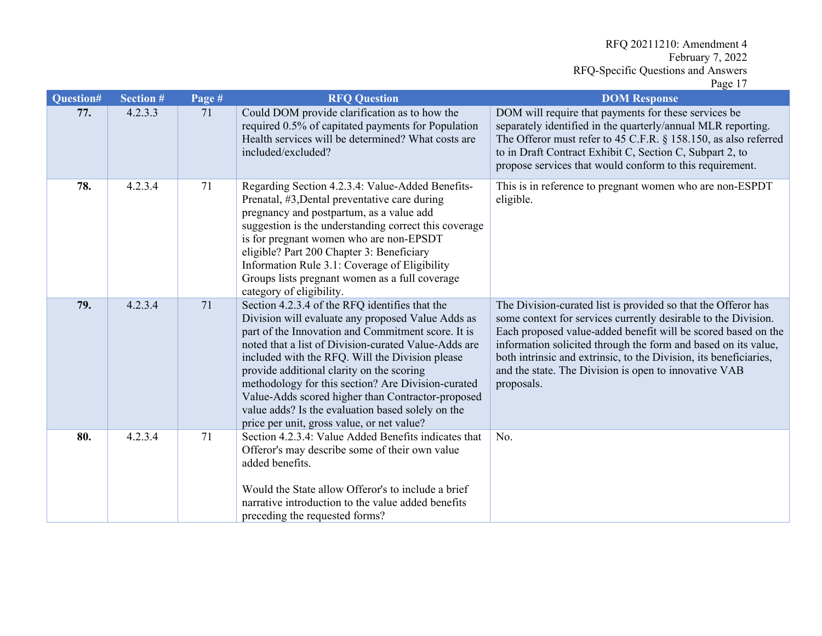|                  |                  |        |                                                                                                                                                                                                                                                                                                                                                                                                                                                                                                                                 | 145                                                                                                                                                                                                                                                                                                                                                                                                            |
|------------------|------------------|--------|---------------------------------------------------------------------------------------------------------------------------------------------------------------------------------------------------------------------------------------------------------------------------------------------------------------------------------------------------------------------------------------------------------------------------------------------------------------------------------------------------------------------------------|----------------------------------------------------------------------------------------------------------------------------------------------------------------------------------------------------------------------------------------------------------------------------------------------------------------------------------------------------------------------------------------------------------------|
| <b>Question#</b> | <b>Section #</b> | Page # | <b>RFQ Question</b>                                                                                                                                                                                                                                                                                                                                                                                                                                                                                                             | <b>DOM Response</b>                                                                                                                                                                                                                                                                                                                                                                                            |
| 77.              | 4.2.3.3          | 71     | Could DOM provide clarification as to how the<br>required 0.5% of capitated payments for Population<br>Health services will be determined? What costs are<br>included/excluded?                                                                                                                                                                                                                                                                                                                                                 | DOM will require that payments for these services be<br>separately identified in the quarterly/annual MLR reporting.<br>The Offeror must refer to 45 C.F.R. § 158.150, as also referred<br>to in Draft Contract Exhibit C, Section C, Subpart 2, to<br>propose services that would conform to this requirement.                                                                                                |
| 78.              | 4.2.3.4          | 71     | Regarding Section 4.2.3.4: Value-Added Benefits-<br>Prenatal, #3, Dental preventative care during<br>pregnancy and postpartum, as a value add<br>suggestion is the understanding correct this coverage<br>is for pregnant women who are non-EPSDT<br>eligible? Part 200 Chapter 3: Beneficiary<br>Information Rule 3.1: Coverage of Eligibility<br>Groups lists pregnant women as a full coverage<br>category of eligibility.                                                                                                   | This is in reference to pregnant women who are non-ESPDT<br>eligible.                                                                                                                                                                                                                                                                                                                                          |
| 79.              | 4.2.3.4          | 71     | Section 4.2.3.4 of the RFQ identifies that the<br>Division will evaluate any proposed Value Adds as<br>part of the Innovation and Commitment score. It is<br>noted that a list of Division-curated Value-Adds are<br>included with the RFQ. Will the Division please<br>provide additional clarity on the scoring<br>methodology for this section? Are Division-curated<br>Value-Adds scored higher than Contractor-proposed<br>value adds? Is the evaluation based solely on the<br>price per unit, gross value, or net value? | The Division-curated list is provided so that the Offeror has<br>some context for services currently desirable to the Division.<br>Each proposed value-added benefit will be scored based on the<br>information solicited through the form and based on its value,<br>both intrinsic and extrinsic, to the Division, its beneficiaries,<br>and the state. The Division is open to innovative VAB<br>proposals. |
| 80.              | 4.2.3.4          | 71     | Section 4.2.3.4: Value Added Benefits indicates that<br>Offeror's may describe some of their own value<br>added benefits.<br>Would the State allow Offeror's to include a brief<br>narrative introduction to the value added benefits<br>preceding the requested forms?                                                                                                                                                                                                                                                         | No.                                                                                                                                                                                                                                                                                                                                                                                                            |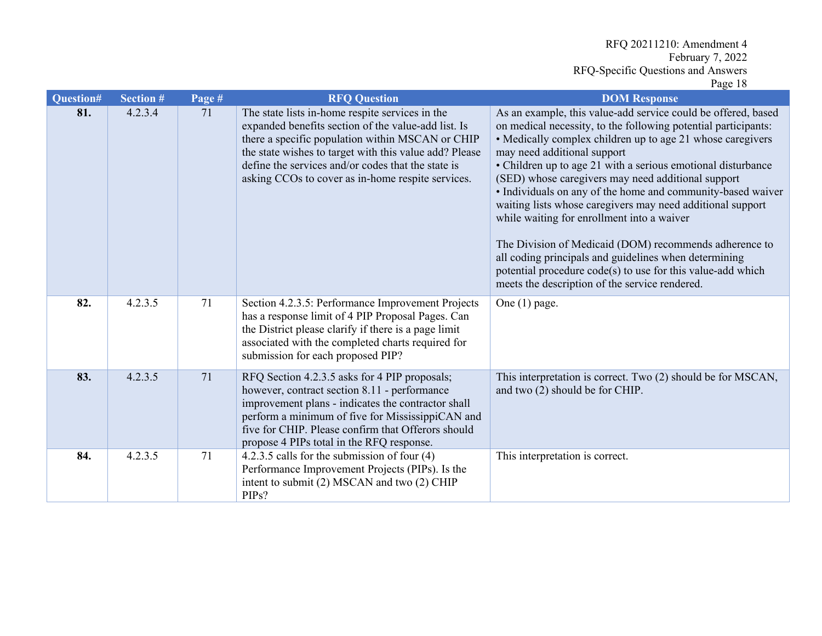| Question# | <b>Section #</b> | Page # | <b>RFQ Question</b>                                                                                                                                                                                                                                                                                                             | <b>DOM Response</b>                                                                                                                                                                                                                                                                                                                                                                                                                                                                                                                                                                                                                                                                                                                                               |
|-----------|------------------|--------|---------------------------------------------------------------------------------------------------------------------------------------------------------------------------------------------------------------------------------------------------------------------------------------------------------------------------------|-------------------------------------------------------------------------------------------------------------------------------------------------------------------------------------------------------------------------------------------------------------------------------------------------------------------------------------------------------------------------------------------------------------------------------------------------------------------------------------------------------------------------------------------------------------------------------------------------------------------------------------------------------------------------------------------------------------------------------------------------------------------|
| 81.       | 4.2.3.4          | 71     | The state lists in-home respite services in the<br>expanded benefits section of the value-add list. Is<br>there a specific population within MSCAN or CHIP<br>the state wishes to target with this value add? Please<br>define the services and/or codes that the state is<br>asking CCOs to cover as in-home respite services. | As an example, this value-add service could be offered, based<br>on medical necessity, to the following potential participants:<br>• Medically complex children up to age 21 whose caregivers<br>may need additional support<br>• Children up to age 21 with a serious emotional disturbance<br>(SED) whose caregivers may need additional support<br>• Individuals on any of the home and community-based waiver<br>waiting lists whose caregivers may need additional support<br>while waiting for enrollment into a waiver<br>The Division of Medicaid (DOM) recommends adherence to<br>all coding principals and guidelines when determining<br>potential procedure code(s) to use for this value-add which<br>meets the description of the service rendered. |
| 82.       | 4.2.3.5          | 71     | Section 4.2.3.5: Performance Improvement Projects<br>has a response limit of 4 PIP Proposal Pages. Can<br>the District please clarify if there is a page limit<br>associated with the completed charts required for<br>submission for each proposed PIP?                                                                        | One $(1)$ page.                                                                                                                                                                                                                                                                                                                                                                                                                                                                                                                                                                                                                                                                                                                                                   |
| 83.       | 4.2.3.5          | 71     | RFQ Section 4.2.3.5 asks for 4 PIP proposals;<br>however, contract section 8.11 - performance<br>improvement plans - indicates the contractor shall<br>perform a minimum of five for MississippiCAN and<br>five for CHIP. Please confirm that Offerors should<br>propose 4 PIPs total in the RFQ response.                      | This interpretation is correct. Two (2) should be for MSCAN,<br>and two (2) should be for CHIP.                                                                                                                                                                                                                                                                                                                                                                                                                                                                                                                                                                                                                                                                   |
| 84.       | 4.2.3.5          | 71     | 4.2.3.5 calls for the submission of four (4)<br>Performance Improvement Projects (PIPs). Is the<br>intent to submit (2) MSCAN and two (2) CHIP<br>PIP <sub>s</sub> ?                                                                                                                                                            | This interpretation is correct.                                                                                                                                                                                                                                                                                                                                                                                                                                                                                                                                                                                                                                                                                                                                   |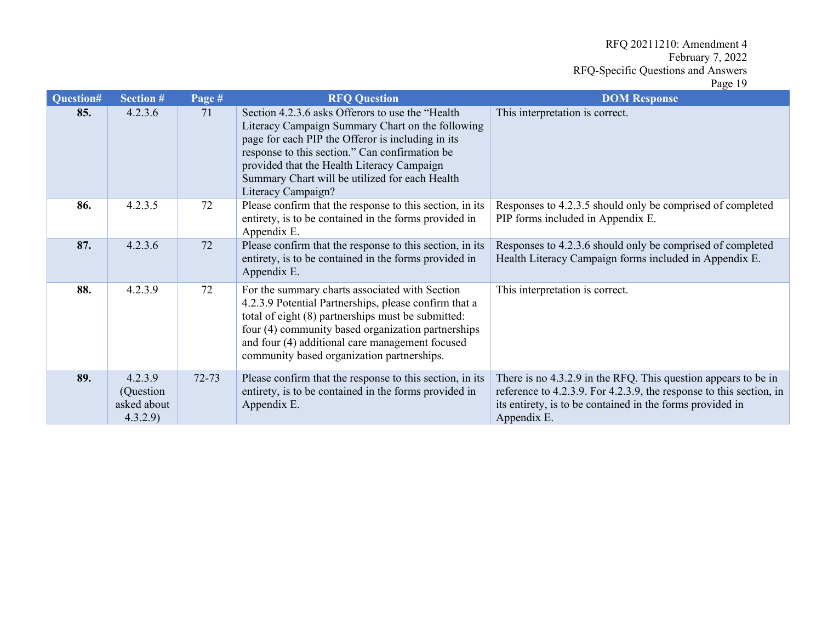| Question# | <b>Section #</b>                               | Page #    | <b>RFQ Question</b>                                                                                                                                                                                                                                                                                                                | - 500 - 71<br><b>DOM Response</b>                                                                                                                                                                                 |
|-----------|------------------------------------------------|-----------|------------------------------------------------------------------------------------------------------------------------------------------------------------------------------------------------------------------------------------------------------------------------------------------------------------------------------------|-------------------------------------------------------------------------------------------------------------------------------------------------------------------------------------------------------------------|
| 85.       | 4.2.3.6                                        | 71        | Section 4.2.3.6 asks Offerors to use the "Health"<br>Literacy Campaign Summary Chart on the following<br>page for each PIP the Offeror is including in its<br>response to this section." Can confirmation be<br>provided that the Health Literacy Campaign<br>Summary Chart will be utilized for each Health<br>Literacy Campaign? | This interpretation is correct.                                                                                                                                                                                   |
| 86.       | 4.2.3.5                                        | 72        | Please confirm that the response to this section, in its<br>entirety, is to be contained in the forms provided in<br>Appendix E.                                                                                                                                                                                                   | Responses to 4.2.3.5 should only be comprised of completed<br>PIP forms included in Appendix E.                                                                                                                   |
| 87.       | 4.2.3.6                                        | 72        | Please confirm that the response to this section, in its<br>entirety, is to be contained in the forms provided in<br>Appendix E.                                                                                                                                                                                                   | Responses to 4.2.3.6 should only be comprised of completed<br>Health Literacy Campaign forms included in Appendix E.                                                                                              |
| 88.       | 4.2.3.9                                        | 72        | For the summary charts associated with Section<br>4.2.3.9 Potential Partnerships, please confirm that a<br>total of eight (8) partnerships must be submitted:<br>four (4) community based organization partnerships<br>and four (4) additional care management focused<br>community based organization partnerships.               | This interpretation is correct.                                                                                                                                                                                   |
| 89.       | 4.2.3.9<br>(Question<br>asked about<br>4.3.2.9 | $72 - 73$ | Please confirm that the response to this section, in its<br>entirety, is to be contained in the forms provided in<br>Appendix E.                                                                                                                                                                                                   | There is no 4.3.2.9 in the RFQ. This question appears to be in<br>reference to 4.2.3.9. For 4.2.3.9, the response to this section, in<br>its entirety, is to be contained in the forms provided in<br>Appendix E. |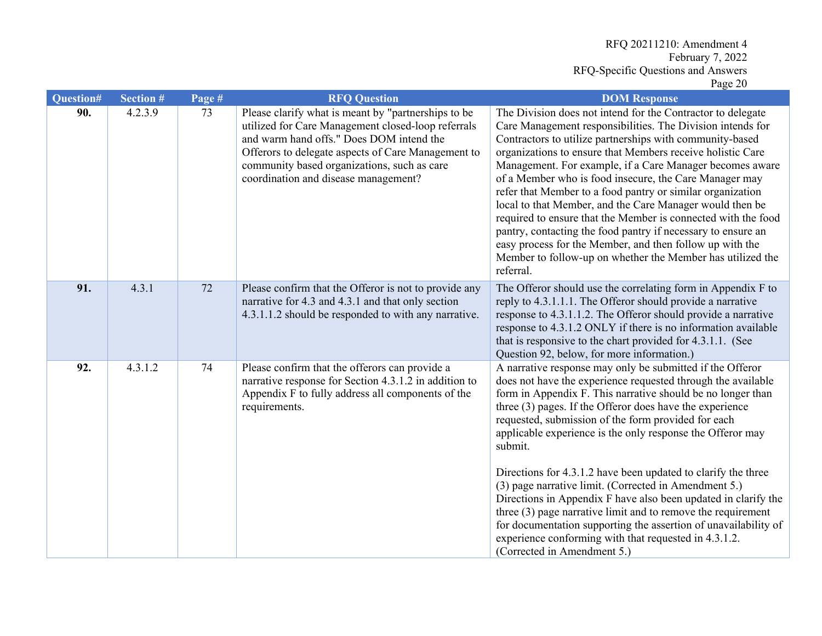| Question# | <b>Section #</b> | Page # | <b>RFQ Question</b>                                                                                                                                                                                                                                                                                | <b>DOM Response</b>                                                                                                                                                                                                                                                                                                                                                                                                                                                                                                                                                                                                                                                                                                                                                                                             |
|-----------|------------------|--------|----------------------------------------------------------------------------------------------------------------------------------------------------------------------------------------------------------------------------------------------------------------------------------------------------|-----------------------------------------------------------------------------------------------------------------------------------------------------------------------------------------------------------------------------------------------------------------------------------------------------------------------------------------------------------------------------------------------------------------------------------------------------------------------------------------------------------------------------------------------------------------------------------------------------------------------------------------------------------------------------------------------------------------------------------------------------------------------------------------------------------------|
| 90.       | 4.2.3.9          | 73     | Please clarify what is meant by "partnerships to be<br>utilized for Care Management closed-loop referrals<br>and warm hand offs." Does DOM intend the<br>Offerors to delegate aspects of Care Management to<br>community based organizations, such as care<br>coordination and disease management? | The Division does not intend for the Contractor to delegate<br>Care Management responsibilities. The Division intends for<br>Contractors to utilize partnerships with community-based<br>organizations to ensure that Members receive holistic Care<br>Management. For example, if a Care Manager becomes aware<br>of a Member who is food insecure, the Care Manager may<br>refer that Member to a food pantry or similar organization<br>local to that Member, and the Care Manager would then be<br>required to ensure that the Member is connected with the food<br>pantry, contacting the food pantry if necessary to ensure an<br>easy process for the Member, and then follow up with the<br>Member to follow-up on whether the Member has utilized the<br>referral.                                     |
| 91.       | 4.3.1            | 72     | Please confirm that the Offeror is not to provide any<br>narrative for 4.3 and 4.3.1 and that only section<br>4.3.1.1.2 should be responded to with any narrative.                                                                                                                                 | The Offeror should use the correlating form in Appendix F to<br>reply to 4.3.1.1.1. The Offeror should provide a narrative<br>response to 4.3.1.1.2. The Offeror should provide a narrative<br>response to 4.3.1.2 ONLY if there is no information available<br>that is responsive to the chart provided for 4.3.1.1. (See<br>Question 92, below, for more information.)                                                                                                                                                                                                                                                                                                                                                                                                                                        |
| 92.       | 4.3.1.2          | 74     | Please confirm that the offerors can provide a<br>narrative response for Section 4.3.1.2 in addition to<br>Appendix F to fully address all components of the<br>requirements.                                                                                                                      | A narrative response may only be submitted if the Offeror<br>does not have the experience requested through the available<br>form in Appendix F. This narrative should be no longer than<br>three $(3)$ pages. If the Offeror does have the experience<br>requested, submission of the form provided for each<br>applicable experience is the only response the Offeror may<br>submit.<br>Directions for 4.3.1.2 have been updated to clarify the three<br>(3) page narrative limit. (Corrected in Amendment 5.)<br>Directions in Appendix F have also been updated in clarify the<br>three $(3)$ page narrative limit and to remove the requirement<br>for documentation supporting the assertion of unavailability of<br>experience conforming with that requested in 4.3.1.2.<br>(Corrected in Amendment 5.) |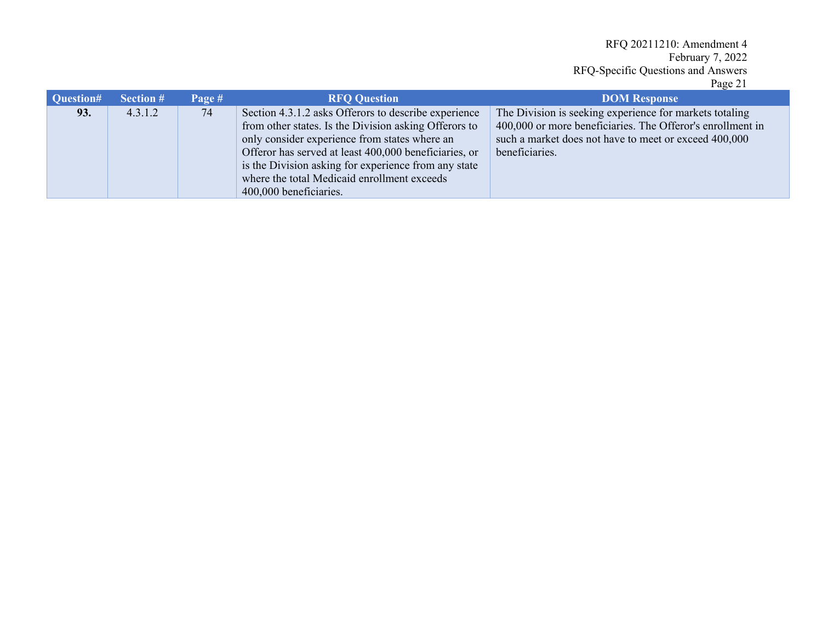| Question# | Section # | Page # | <b>RFQ Question</b>                                   | <b>DOM Response</b>                                        |
|-----------|-----------|--------|-------------------------------------------------------|------------------------------------------------------------|
| 93.       | 4.3.1.2   | 74     | Section 4.3.1.2 asks Offerors to describe experience  | The Division is seeking experience for markets totaling    |
|           |           |        | from other states. Is the Division asking Offerors to | 400,000 or more beneficiaries. The Offeror's enrollment in |
|           |           |        | only consider experience from states where an         | such a market does not have to meet or exceed 400,000      |
|           |           |        | Offeror has served at least 400,000 beneficiaries, or | beneficiaries.                                             |
|           |           |        | is the Division asking for experience from any state  |                                                            |
|           |           |        | where the total Medicaid enrollment exceeds           |                                                            |
|           |           |        | 400,000 beneficiaries.                                |                                                            |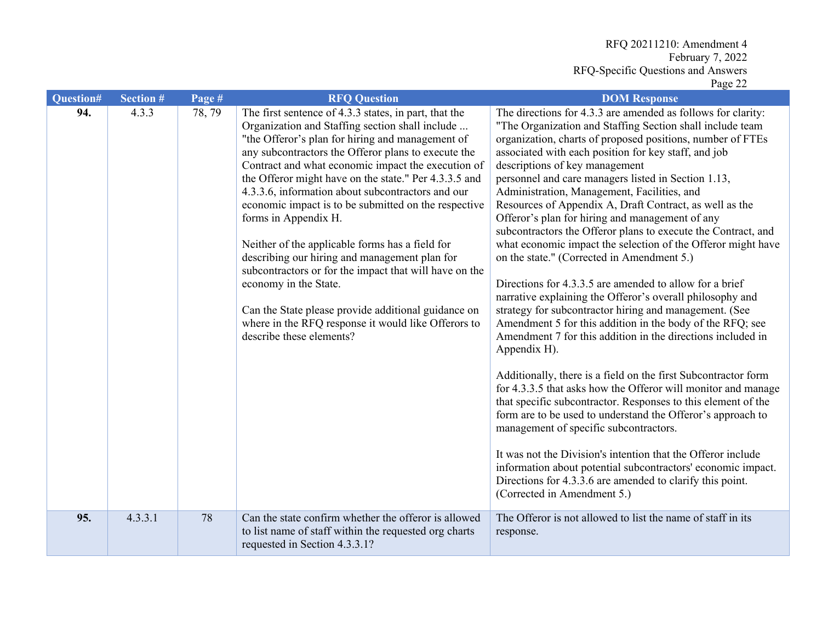| Question# | Section # | Page # | <b>RFQ Question</b>                                                                                                                                                                                                                                                                                                                                                                                                                                                                                                                                                                                                                                                                                                                                                                                      | <b>DOM Response</b>                                                                                                                                                                                                                                                                                                                                                                                                                                                                                                                                                                                                                                                                                                                                                                                                                                                                                                                                                                                                                                                                                                                                                                                                                                                                                                                                                                                                                                                                                                                                         |
|-----------|-----------|--------|----------------------------------------------------------------------------------------------------------------------------------------------------------------------------------------------------------------------------------------------------------------------------------------------------------------------------------------------------------------------------------------------------------------------------------------------------------------------------------------------------------------------------------------------------------------------------------------------------------------------------------------------------------------------------------------------------------------------------------------------------------------------------------------------------------|-------------------------------------------------------------------------------------------------------------------------------------------------------------------------------------------------------------------------------------------------------------------------------------------------------------------------------------------------------------------------------------------------------------------------------------------------------------------------------------------------------------------------------------------------------------------------------------------------------------------------------------------------------------------------------------------------------------------------------------------------------------------------------------------------------------------------------------------------------------------------------------------------------------------------------------------------------------------------------------------------------------------------------------------------------------------------------------------------------------------------------------------------------------------------------------------------------------------------------------------------------------------------------------------------------------------------------------------------------------------------------------------------------------------------------------------------------------------------------------------------------------------------------------------------------------|
| 94.       | 4.3.3     | 78, 79 | The first sentence of 4.3.3 states, in part, that the<br>Organization and Staffing section shall include<br>"the Offeror's plan for hiring and management of<br>any subcontractors the Offeror plans to execute the<br>Contract and what economic impact the execution of<br>the Offeror might have on the state." Per 4.3.3.5 and<br>4.3.3.6, information about subcontractors and our<br>economic impact is to be submitted on the respective<br>forms in Appendix H.<br>Neither of the applicable forms has a field for<br>describing our hiring and management plan for<br>subcontractors or for the impact that will have on the<br>economy in the State.<br>Can the State please provide additional guidance on<br>where in the RFQ response it would like Offerors to<br>describe these elements? | The directions for 4.3.3 are amended as follows for clarity:<br>"The Organization and Staffing Section shall include team<br>organization, charts of proposed positions, number of FTEs<br>associated with each position for key staff, and job<br>descriptions of key management<br>personnel and care managers listed in Section 1.13,<br>Administration, Management, Facilities, and<br>Resources of Appendix A, Draft Contract, as well as the<br>Offeror's plan for hiring and management of any<br>subcontractors the Offeror plans to execute the Contract, and<br>what economic impact the selection of the Offeror might have<br>on the state." (Corrected in Amendment 5.)<br>Directions for 4.3.3.5 are amended to allow for a brief<br>narrative explaining the Offeror's overall philosophy and<br>strategy for subcontractor hiring and management. (See<br>Amendment 5 for this addition in the body of the RFQ; see<br>Amendment 7 for this addition in the directions included in<br>Appendix H).<br>Additionally, there is a field on the first Subcontractor form<br>for 4.3.3.5 that asks how the Offeror will monitor and manage<br>that specific subcontractor. Responses to this element of the<br>form are to be used to understand the Offeror's approach to<br>management of specific subcontractors.<br>It was not the Division's intention that the Offeror include<br>information about potential subcontractors' economic impact.<br>Directions for 4.3.3.6 are amended to clarify this point.<br>(Corrected in Amendment 5.) |
| 95.       | 4.3.3.1   | 78     | Can the state confirm whether the offeror is allowed<br>to list name of staff within the requested org charts<br>requested in Section 4.3.3.1?                                                                                                                                                                                                                                                                                                                                                                                                                                                                                                                                                                                                                                                           | The Offeror is not allowed to list the name of staff in its<br>response.                                                                                                                                                                                                                                                                                                                                                                                                                                                                                                                                                                                                                                                                                                                                                                                                                                                                                                                                                                                                                                                                                                                                                                                                                                                                                                                                                                                                                                                                                    |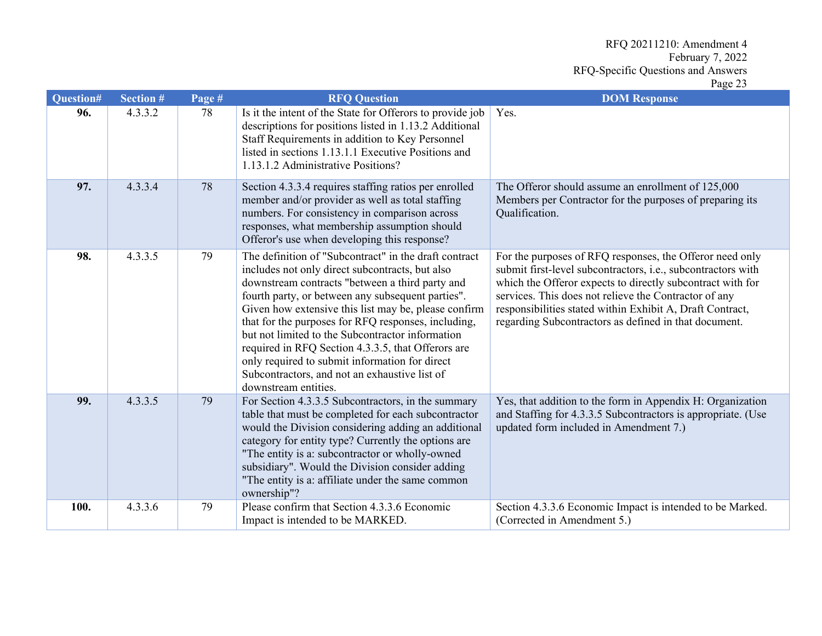| <b>Question#</b> | <b>Section #</b> | Page # | <b>RFQ Question</b>                                                                                                                                                                                                                                                                                                                                                                                                                                                                                                                                                  | $1.45$ $-2.5$<br><b>DOM Response</b>                                                                                                                                                                                                                                                                                                                                  |
|------------------|------------------|--------|----------------------------------------------------------------------------------------------------------------------------------------------------------------------------------------------------------------------------------------------------------------------------------------------------------------------------------------------------------------------------------------------------------------------------------------------------------------------------------------------------------------------------------------------------------------------|-----------------------------------------------------------------------------------------------------------------------------------------------------------------------------------------------------------------------------------------------------------------------------------------------------------------------------------------------------------------------|
| 96.              | 4.3.3.2          | 78     | Is it the intent of the State for Offerors to provide job<br>descriptions for positions listed in 1.13.2 Additional<br>Staff Requirements in addition to Key Personnel<br>listed in sections 1.13.1.1 Executive Positions and<br>1.13.1.2 Administrative Positions?                                                                                                                                                                                                                                                                                                  | Yes.                                                                                                                                                                                                                                                                                                                                                                  |
| 97.              | 4.3.3.4          | 78     | Section 4.3.3.4 requires staffing ratios per enrolled<br>member and/or provider as well as total staffing<br>numbers. For consistency in comparison across<br>responses, what membership assumption should<br>Offeror's use when developing this response?                                                                                                                                                                                                                                                                                                           | The Offeror should assume an enrollment of 125,000<br>Members per Contractor for the purposes of preparing its<br>Qualification.                                                                                                                                                                                                                                      |
| 98.              | 4.3.3.5          | 79     | The definition of "Subcontract" in the draft contract<br>includes not only direct subcontracts, but also<br>downstream contracts "between a third party and<br>fourth party, or between any subsequent parties".<br>Given how extensive this list may be, please confirm<br>that for the purposes for RFQ responses, including,<br>but not limited to the Subcontractor information<br>required in RFQ Section 4.3.3.5, that Offerors are<br>only required to submit information for direct<br>Subcontractors, and not an exhaustive list of<br>downstream entities. | For the purposes of RFQ responses, the Offeror need only<br>submit first-level subcontractors, i.e., subcontractors with<br>which the Offeror expects to directly subcontract with for<br>services. This does not relieve the Contractor of any<br>responsibilities stated within Exhibit A, Draft Contract,<br>regarding Subcontractors as defined in that document. |
| 99.              | 4.3.3.5          | 79     | For Section 4.3.3.5 Subcontractors, in the summary<br>table that must be completed for each subcontractor<br>would the Division considering adding an additional<br>category for entity type? Currently the options are<br>"The entity is a: subcontractor or wholly-owned<br>subsidiary". Would the Division consider adding<br>"The entity is a: affiliate under the same common<br>ownership"?                                                                                                                                                                    | Yes, that addition to the form in Appendix H: Organization<br>and Staffing for 4.3.3.5 Subcontractors is appropriate. (Use<br>updated form included in Amendment 7.)                                                                                                                                                                                                  |
| 100.             | 4.3.3.6          | 79     | Please confirm that Section 4.3.3.6 Economic<br>Impact is intended to be MARKED.                                                                                                                                                                                                                                                                                                                                                                                                                                                                                     | Section 4.3.3.6 Economic Impact is intended to be Marked.<br>(Corrected in Amendment 5.)                                                                                                                                                                                                                                                                              |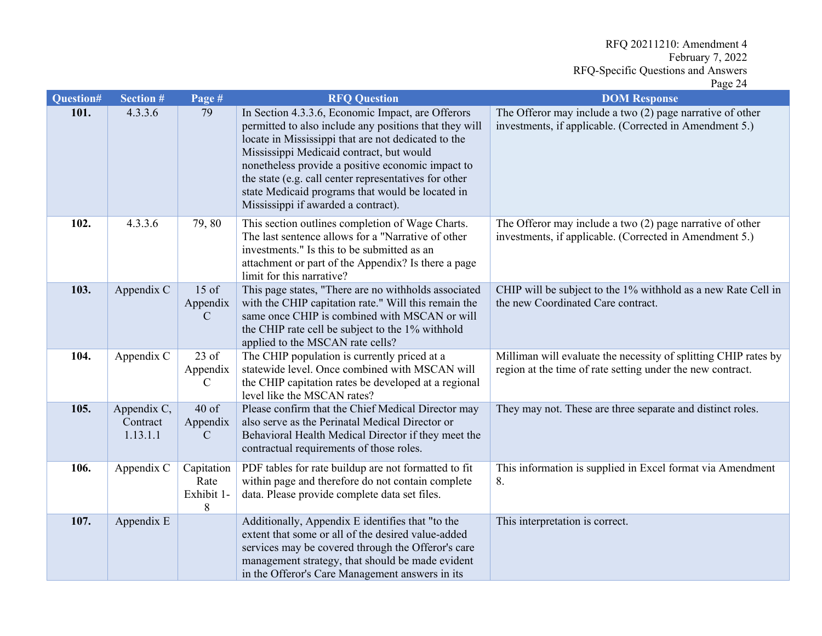| Question# | Section #                           | Page #                                | <b>RFQ Question</b>                                                                                                                                                                                                                                                                                                                                                                                                     | <b>DOM Response</b>                                                                                                           |
|-----------|-------------------------------------|---------------------------------------|-------------------------------------------------------------------------------------------------------------------------------------------------------------------------------------------------------------------------------------------------------------------------------------------------------------------------------------------------------------------------------------------------------------------------|-------------------------------------------------------------------------------------------------------------------------------|
| 101.      | 4.3.3.6                             | 79                                    | In Section 4.3.3.6, Economic Impact, are Offerors<br>permitted to also include any positions that they will<br>locate in Mississippi that are not dedicated to the<br>Mississippi Medicaid contract, but would<br>nonetheless provide a positive economic impact to<br>the state (e.g. call center representatives for other<br>state Medicaid programs that would be located in<br>Mississippi if awarded a contract). | The Offeror may include a two $(2)$ page narrative of other<br>investments, if applicable. (Corrected in Amendment 5.)        |
| 102.      | 4.3.3.6                             | 79,80                                 | This section outlines completion of Wage Charts.<br>The last sentence allows for a "Narrative of other<br>investments." Is this to be submitted as an<br>attachment or part of the Appendix? Is there a page<br>limit for this narrative?                                                                                                                                                                               | The Offeror may include a two $(2)$ page narrative of other<br>investments, if applicable. (Corrected in Amendment 5.)        |
| 103.      | Appendix C                          | $15$ of<br>Appendix<br>$\mathcal{C}$  | This page states, "There are no withholds associated<br>with the CHIP capitation rate." Will this remain the<br>same once CHIP is combined with MSCAN or will<br>the CHIP rate cell be subject to the 1% withhold<br>applied to the MSCAN rate cells?                                                                                                                                                                   | CHIP will be subject to the 1% withhold as a new Rate Cell in<br>the new Coordinated Care contract.                           |
| 104.      | Appendix C                          | $23$ of<br>Appendix<br>$\mathcal{C}$  | The CHIP population is currently priced at a<br>statewide level. Once combined with MSCAN will<br>the CHIP capitation rates be developed at a regional<br>level like the MSCAN rates?                                                                                                                                                                                                                                   | Milliman will evaluate the necessity of splitting CHIP rates by<br>region at the time of rate setting under the new contract. |
| 105.      | Appendix C,<br>Contract<br>1.13.1.1 | $40$ of<br>Appendix<br>$\mathcal{C}$  | Please confirm that the Chief Medical Director may<br>also serve as the Perinatal Medical Director or<br>Behavioral Health Medical Director if they meet the<br>contractual requirements of those roles.                                                                                                                                                                                                                | They may not. These are three separate and distinct roles.                                                                    |
| 106.      | Appendix C                          | Capitation<br>Rate<br>Exhibit 1-<br>8 | PDF tables for rate buildup are not formatted to fit<br>within page and therefore do not contain complete<br>data. Please provide complete data set files.                                                                                                                                                                                                                                                              | This information is supplied in Excel format via Amendment<br>8.                                                              |
| 107.      | Appendix E                          |                                       | Additionally, Appendix E identifies that "to the<br>extent that some or all of the desired value-added<br>services may be covered through the Offeror's care<br>management strategy, that should be made evident<br>in the Offeror's Care Management answers in its                                                                                                                                                     | This interpretation is correct.                                                                                               |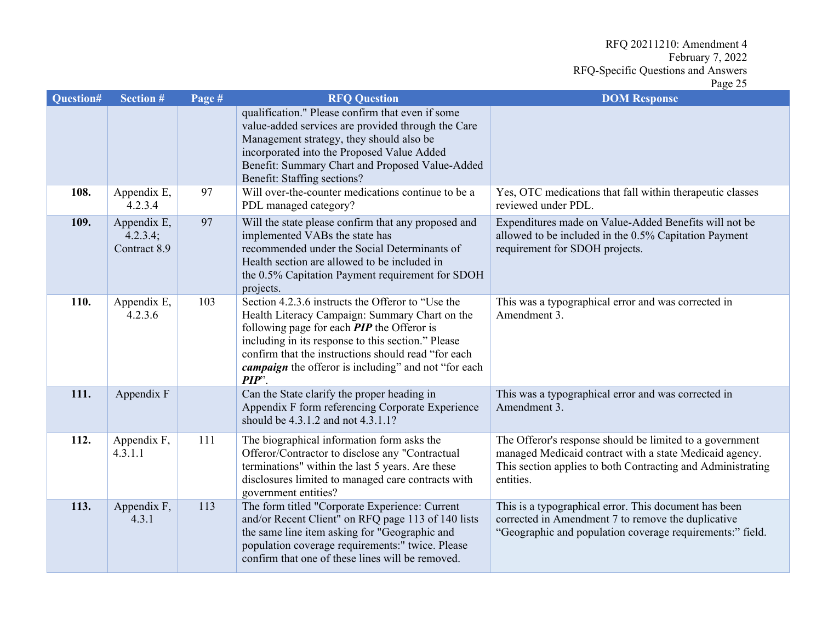| <b>Question#</b> | <b>Section #</b>                        | Page # | <b>RFQ Question</b>                                                                                                                                                                                                                                                                                                                      | <b>DOM Response</b>                                                                                                                                                                             |
|------------------|-----------------------------------------|--------|------------------------------------------------------------------------------------------------------------------------------------------------------------------------------------------------------------------------------------------------------------------------------------------------------------------------------------------|-------------------------------------------------------------------------------------------------------------------------------------------------------------------------------------------------|
|                  |                                         |        | qualification." Please confirm that even if some<br>value-added services are provided through the Care<br>Management strategy, they should also be<br>incorporated into the Proposed Value Added<br>Benefit: Summary Chart and Proposed Value-Added<br>Benefit: Staffing sections?                                                       |                                                                                                                                                                                                 |
| 108.             | Appendix E,<br>4.2.3.4                  | 97     | Will over-the-counter medications continue to be a<br>PDL managed category?                                                                                                                                                                                                                                                              | Yes, OTC medications that fall within therapeutic classes<br>reviewed under PDL.                                                                                                                |
| 109.             | Appendix E,<br>4.2.3.4;<br>Contract 8.9 | 97     | Will the state please confirm that any proposed and<br>implemented VABs the state has<br>recommended under the Social Determinants of<br>Health section are allowed to be included in<br>the 0.5% Capitation Payment requirement for SDOH<br>projects.                                                                                   | Expenditures made on Value-Added Benefits will not be<br>allowed to be included in the 0.5% Capitation Payment<br>requirement for SDOH projects.                                                |
| 110.             | Appendix E,<br>4.2.3.6                  | 103    | Section 4.2.3.6 instructs the Offeror to "Use the<br>Health Literacy Campaign: Summary Chart on the<br>following page for each <b>PIP</b> the Offeror is<br>including in its response to this section." Please<br>confirm that the instructions should read "for each<br>campaign the offeror is including" and not "for each<br>$PIP$ . | This was a typographical error and was corrected in<br>Amendment 3.                                                                                                                             |
| 111.             | Appendix F                              |        | Can the State clarify the proper heading in<br>Appendix F form referencing Corporate Experience<br>should be 4.3.1.2 and not 4.3.1.1?                                                                                                                                                                                                    | This was a typographical error and was corrected in<br>Amendment 3.                                                                                                                             |
| 112.             | Appendix F,<br>4.3.1.1                  | 111    | The biographical information form asks the<br>Offeror/Contractor to disclose any "Contractual<br>terminations" within the last 5 years. Are these<br>disclosures limited to managed care contracts with<br>government entities?                                                                                                          | The Offeror's response should be limited to a government<br>managed Medicaid contract with a state Medicaid agency.<br>This section applies to both Contracting and Administrating<br>entities. |
| 113.             | Appendix F,<br>4.3.1                    | 113    | The form titled "Corporate Experience: Current<br>and/or Recent Client" on RFQ page 113 of 140 lists<br>the same line item asking for "Geographic and<br>population coverage requirements:" twice. Please<br>confirm that one of these lines will be removed.                                                                            | This is a typographical error. This document has been<br>corrected in Amendment 7 to remove the duplicative<br>"Geographic and population coverage requirements:" field.                        |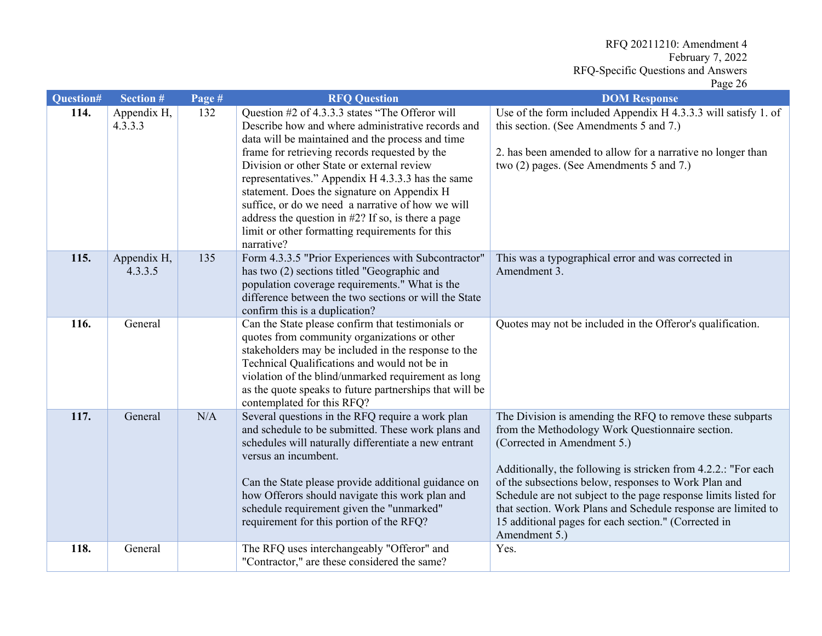| Question# | <b>Section #</b>       | Page # | <b>RFQ Question</b>                                                                                                                                                                                                                                                                                                                                                                                                                                                                                                                        | <b>DOM Response</b>                                                                                                                                                                                                                                                                                                                                                                                                                                                                 |
|-----------|------------------------|--------|--------------------------------------------------------------------------------------------------------------------------------------------------------------------------------------------------------------------------------------------------------------------------------------------------------------------------------------------------------------------------------------------------------------------------------------------------------------------------------------------------------------------------------------------|-------------------------------------------------------------------------------------------------------------------------------------------------------------------------------------------------------------------------------------------------------------------------------------------------------------------------------------------------------------------------------------------------------------------------------------------------------------------------------------|
| 114.      | Appendix H,<br>4.3.3.3 | 132    | Question #2 of 4.3.3.3 states "The Offeror will<br>Describe how and where administrative records and<br>data will be maintained and the process and time<br>frame for retrieving records requested by the<br>Division or other State or external review<br>representatives." Appendix H 4.3.3.3 has the same<br>statement. Does the signature on Appendix H<br>suffice, or do we need a narrative of how we will<br>address the question in $#2$ ? If so, is there a page<br>limit or other formatting requirements for this<br>narrative? | Use of the form included Appendix H 4.3.3.3 will satisfy 1. of<br>this section. (See Amendments 5 and 7.)<br>2. has been amended to allow for a narrative no longer than<br>two (2) pages. (See Amendments 5 and 7.)                                                                                                                                                                                                                                                                |
| 115.      | Appendix H,<br>4.3.3.5 | 135    | Form 4.3.3.5 "Prior Experiences with Subcontractor"<br>has two (2) sections titled "Geographic and<br>population coverage requirements." What is the<br>difference between the two sections or will the State<br>confirm this is a duplication?                                                                                                                                                                                                                                                                                            | This was a typographical error and was corrected in<br>Amendment 3.                                                                                                                                                                                                                                                                                                                                                                                                                 |
| 116.      | General                |        | Can the State please confirm that testimonials or<br>quotes from community organizations or other<br>stakeholders may be included in the response to the<br>Technical Qualifications and would not be in<br>violation of the blind/unmarked requirement as long<br>as the quote speaks to future partnerships that will be<br>contemplated for this RFQ?                                                                                                                                                                                   | Quotes may not be included in the Offeror's qualification.                                                                                                                                                                                                                                                                                                                                                                                                                          |
| 117.      | General                | N/A    | Several questions in the RFQ require a work plan<br>and schedule to be submitted. These work plans and<br>schedules will naturally differentiate a new entrant<br>versus an incumbent.<br>Can the State please provide additional guidance on<br>how Offerors should navigate this work plan and<br>schedule requirement given the "unmarked"<br>requirement for this portion of the RFQ?                                                                                                                                                  | The Division is amending the RFQ to remove these subparts<br>from the Methodology Work Questionnaire section.<br>(Corrected in Amendment 5.)<br>Additionally, the following is stricken from 4.2.2.: "For each<br>of the subsections below, responses to Work Plan and<br>Schedule are not subject to the page response limits listed for<br>that section. Work Plans and Schedule response are limited to<br>15 additional pages for each section." (Corrected in<br>Amendment 5.) |
| 118.      | General                |        | The RFQ uses interchangeably "Offeror" and<br>"Contractor," are these considered the same?                                                                                                                                                                                                                                                                                                                                                                                                                                                 | Yes.                                                                                                                                                                                                                                                                                                                                                                                                                                                                                |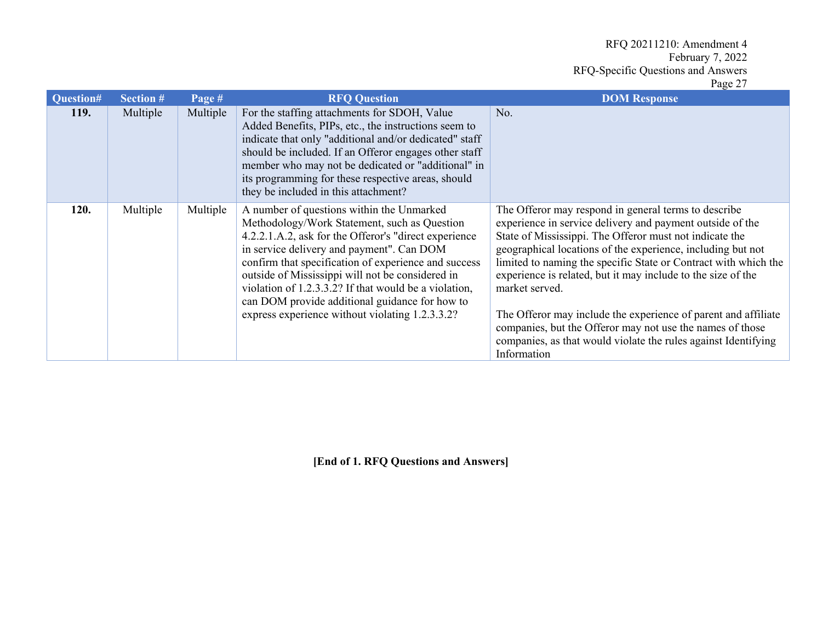| Question#   | <b>Section #</b> | Page #   | <b>RFQ Question</b>                                                                                                                                                                                                                                                                                                                                                                                                                                                        | <b>DOM Response</b>                                                                                                                                                                                                                                                                                                                                                                                                                                                                                                             |
|-------------|------------------|----------|----------------------------------------------------------------------------------------------------------------------------------------------------------------------------------------------------------------------------------------------------------------------------------------------------------------------------------------------------------------------------------------------------------------------------------------------------------------------------|---------------------------------------------------------------------------------------------------------------------------------------------------------------------------------------------------------------------------------------------------------------------------------------------------------------------------------------------------------------------------------------------------------------------------------------------------------------------------------------------------------------------------------|
| <b>119.</b> | Multiple         | Multiple | For the staffing attachments for SDOH, Value<br>Added Benefits, PIPs, etc., the instructions seem to<br>indicate that only "additional and/or dedicated" staff<br>should be included. If an Offeror engages other staff<br>member who may not be dedicated or "additional" in<br>its programming for these respective areas, should<br>they be included in this attachment?                                                                                                | No.                                                                                                                                                                                                                                                                                                                                                                                                                                                                                                                             |
| 120.        | Multiple         | Multiple | A number of questions within the Unmarked<br>Methodology/Work Statement, such as Question<br>4.2.2.1.A.2, ask for the Offeror's "direct experience"<br>in service delivery and payment". Can DOM<br>confirm that specification of experience and success<br>outside of Mississippi will not be considered in<br>violation of 1.2.3.3.2? If that would be a violation,<br>can DOM provide additional guidance for how to<br>express experience without violating 1.2.3.3.2? | The Offeror may respond in general terms to describe<br>experience in service delivery and payment outside of the<br>State of Mississippi. The Offeror must not indicate the<br>geographical locations of the experience, including but not<br>limited to naming the specific State or Contract with which the<br>experience is related, but it may include to the size of the<br>market served.<br>The Offeror may include the experience of parent and affiliate<br>companies, but the Offeror may not use the names of those |
|             |                  |          |                                                                                                                                                                                                                                                                                                                                                                                                                                                                            | companies, as that would violate the rules against Identifying<br>Information                                                                                                                                                                                                                                                                                                                                                                                                                                                   |

**[End of 1. RFQ Questions and Answers]**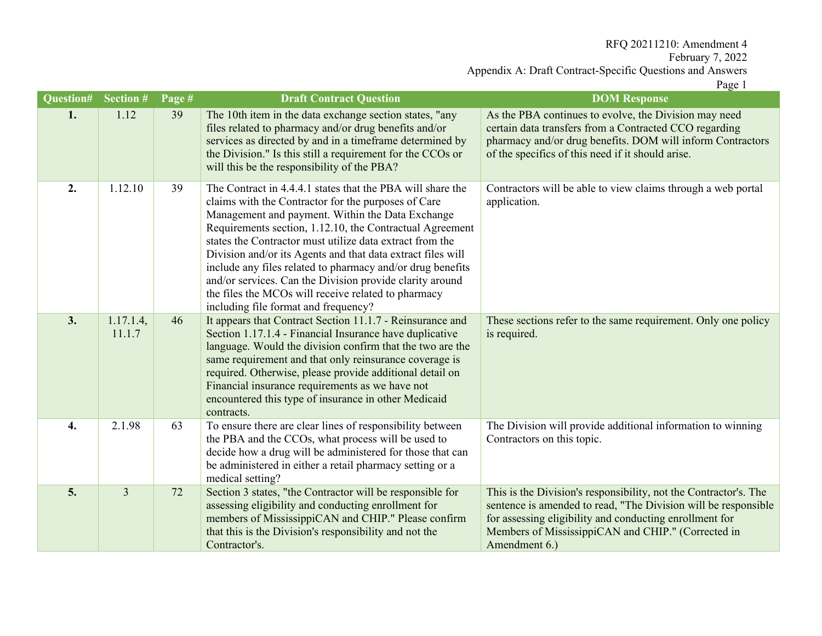| Question# | Section #              | Page # | <b>Draft Contract Question</b>                                                                                                                                                                                                                                                                                                                                                                                                                                                                                                                                                        | <b>DOM Response</b>                                                                                                                                                                                                                                                  |
|-----------|------------------------|--------|---------------------------------------------------------------------------------------------------------------------------------------------------------------------------------------------------------------------------------------------------------------------------------------------------------------------------------------------------------------------------------------------------------------------------------------------------------------------------------------------------------------------------------------------------------------------------------------|----------------------------------------------------------------------------------------------------------------------------------------------------------------------------------------------------------------------------------------------------------------------|
| 1.        | 1.12                   | 39     | The 10th item in the data exchange section states, "any<br>files related to pharmacy and/or drug benefits and/or<br>services as directed by and in a timeframe determined by<br>the Division." Is this still a requirement for the CCOs or<br>will this be the responsibility of the PBA?                                                                                                                                                                                                                                                                                             | As the PBA continues to evolve, the Division may need<br>certain data transfers from a Contracted CCO regarding<br>pharmacy and/or drug benefits. DOM will inform Contractors<br>of the specifics of this need if it should arise.                                   |
| 2.        | 1.12.10                | 39     | The Contract in 4.4.4.1 states that the PBA will share the<br>claims with the Contractor for the purposes of Care<br>Management and payment. Within the Data Exchange<br>Requirements section, 1.12.10, the Contractual Agreement<br>states the Contractor must utilize data extract from the<br>Division and/or its Agents and that data extract files will<br>include any files related to pharmacy and/or drug benefits<br>and/or services. Can the Division provide clarity around<br>the files the MCOs will receive related to pharmacy<br>including file format and frequency? | Contractors will be able to view claims through a web portal<br>application.                                                                                                                                                                                         |
| 3.        | $1.17.1.4$ ,<br>11.1.7 | 46     | It appears that Contract Section 11.1.7 - Reinsurance and<br>Section 1.17.1.4 - Financial Insurance have duplicative<br>language. Would the division confirm that the two are the<br>same requirement and that only reinsurance coverage is<br>required. Otherwise, please provide additional detail on<br>Financial insurance requirements as we have not<br>encountered this type of insurance in other Medicaid<br>contracts.                                                                                                                                                      | These sections refer to the same requirement. Only one policy<br>is required.                                                                                                                                                                                        |
| 4.        | 2.1.98                 | 63     | To ensure there are clear lines of responsibility between<br>the PBA and the CCOs, what process will be used to<br>decide how a drug will be administered for those that can<br>be administered in either a retail pharmacy setting or a<br>medical setting?                                                                                                                                                                                                                                                                                                                          | The Division will provide additional information to winning<br>Contractors on this topic.                                                                                                                                                                            |
| 5.        | $\overline{3}$         | 72     | Section 3 states, "the Contractor will be responsible for<br>assessing eligibility and conducting enrollment for<br>members of MississippiCAN and CHIP." Please confirm<br>that this is the Division's responsibility and not the<br>Contractor's.                                                                                                                                                                                                                                                                                                                                    | This is the Division's responsibility, not the Contractor's. The<br>sentence is amended to read, "The Division will be responsible<br>for assessing eligibility and conducting enrollment for<br>Members of MississippiCAN and CHIP." (Corrected in<br>Amendment 6.) |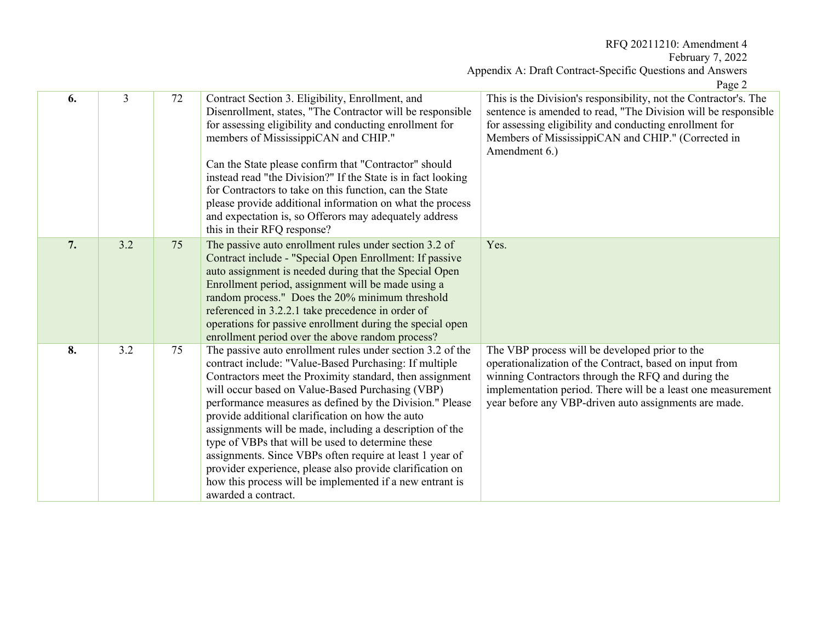RFQ 20211210: Amendment 4 February 7, 2022

Appendix A: Draft Contract-Specific Questions and Answers

|    |     |    |                                                                                                                                                                                                                                                                                                                                                                                                                                                                                                                                                                                                                                                                                   | Page 2                                                                                                                                                                                                                                                                                   |
|----|-----|----|-----------------------------------------------------------------------------------------------------------------------------------------------------------------------------------------------------------------------------------------------------------------------------------------------------------------------------------------------------------------------------------------------------------------------------------------------------------------------------------------------------------------------------------------------------------------------------------------------------------------------------------------------------------------------------------|------------------------------------------------------------------------------------------------------------------------------------------------------------------------------------------------------------------------------------------------------------------------------------------|
| 6. | 3   | 72 | Contract Section 3. Eligibility, Enrollment, and<br>Disenrollment, states, "The Contractor will be responsible<br>for assessing eligibility and conducting enrollment for<br>members of MississippiCAN and CHIP."                                                                                                                                                                                                                                                                                                                                                                                                                                                                 | This is the Division's responsibility, not the Contractor's. The<br>sentence is amended to read, "The Division will be responsible<br>for assessing eligibility and conducting enrollment for<br>Members of MississippiCAN and CHIP." (Corrected in<br>Amendment 6.)                     |
|    |     |    | Can the State please confirm that "Contractor" should<br>instead read "the Division?" If the State is in fact looking<br>for Contractors to take on this function, can the State<br>please provide additional information on what the process<br>and expectation is, so Offerors may adequately address<br>this in their RFQ response?                                                                                                                                                                                                                                                                                                                                            |                                                                                                                                                                                                                                                                                          |
| 7. | 3.2 | 75 | The passive auto enrollment rules under section 3.2 of<br>Contract include - "Special Open Enrollment: If passive<br>auto assignment is needed during that the Special Open<br>Enrollment period, assignment will be made using a<br>random process." Does the 20% minimum threshold<br>referenced in 3.2.2.1 take precedence in order of<br>operations for passive enrollment during the special open<br>enrollment period over the above random process?                                                                                                                                                                                                                        | Yes.                                                                                                                                                                                                                                                                                     |
| 8. | 3.2 | 75 | The passive auto enrollment rules under section 3.2 of the<br>contract include: "Value-Based Purchasing: If multiple<br>Contractors meet the Proximity standard, then assignment<br>will occur based on Value-Based Purchasing (VBP)<br>performance measures as defined by the Division." Please<br>provide additional clarification on how the auto<br>assignments will be made, including a description of the<br>type of VBPs that will be used to determine these<br>assignments. Since VBPs often require at least 1 year of<br>provider experience, please also provide clarification on<br>how this process will be implemented if a new entrant is<br>awarded a contract. | The VBP process will be developed prior to the<br>operationalization of the Contract, based on input from<br>winning Contractors through the RFQ and during the<br>implementation period. There will be a least one measurement<br>year before any VBP-driven auto assignments are made. |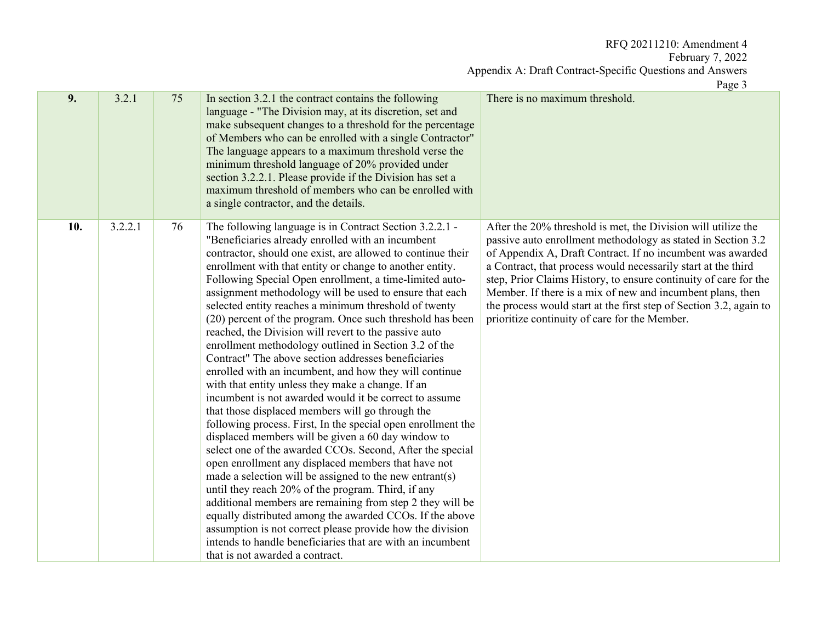|--|--|

|     |         |    |                                                                                                                                                                                                                                                                                                                                                                                                                                                                                                                                                                                                                                                                                                                                                                                                                                                                                                                                                                                                                                                                                                                                                                                                                                                                                                                                                                                                                                                                                                                                             | age J                                                                                                                                                                                                                                                                                                                                                                                                                                                                                                                 |
|-----|---------|----|---------------------------------------------------------------------------------------------------------------------------------------------------------------------------------------------------------------------------------------------------------------------------------------------------------------------------------------------------------------------------------------------------------------------------------------------------------------------------------------------------------------------------------------------------------------------------------------------------------------------------------------------------------------------------------------------------------------------------------------------------------------------------------------------------------------------------------------------------------------------------------------------------------------------------------------------------------------------------------------------------------------------------------------------------------------------------------------------------------------------------------------------------------------------------------------------------------------------------------------------------------------------------------------------------------------------------------------------------------------------------------------------------------------------------------------------------------------------------------------------------------------------------------------------|-----------------------------------------------------------------------------------------------------------------------------------------------------------------------------------------------------------------------------------------------------------------------------------------------------------------------------------------------------------------------------------------------------------------------------------------------------------------------------------------------------------------------|
| 9.  | 3.2.1   | 75 | In section 3.2.1 the contract contains the following<br>language - "The Division may, at its discretion, set and<br>make subsequent changes to a threshold for the percentage<br>of Members who can be enrolled with a single Contractor"<br>The language appears to a maximum threshold verse the<br>minimum threshold language of 20% provided under<br>section 3.2.2.1. Please provide if the Division has set a<br>maximum threshold of members who can be enrolled with<br>a single contractor, and the details.                                                                                                                                                                                                                                                                                                                                                                                                                                                                                                                                                                                                                                                                                                                                                                                                                                                                                                                                                                                                                       | There is no maximum threshold.                                                                                                                                                                                                                                                                                                                                                                                                                                                                                        |
| 10. | 3.2.2.1 | 76 | The following language is in Contract Section 3.2.2.1 -<br>"Beneficiaries already enrolled with an incumbent<br>contractor, should one exist, are allowed to continue their<br>enrollment with that entity or change to another entity.<br>Following Special Open enrollment, a time-limited auto-<br>assignment methodology will be used to ensure that each<br>selected entity reaches a minimum threshold of twenty<br>(20) percent of the program. Once such threshold has been<br>reached, the Division will revert to the passive auto<br>enrollment methodology outlined in Section 3.2 of the<br>Contract" The above section addresses beneficiaries<br>enrolled with an incumbent, and how they will continue<br>with that entity unless they make a change. If an<br>incumbent is not awarded would it be correct to assume<br>that those displaced members will go through the<br>following process. First, In the special open enrollment the<br>displaced members will be given a 60 day window to<br>select one of the awarded CCOs. Second, After the special<br>open enrollment any displaced members that have not<br>made a selection will be assigned to the new entrant(s)<br>until they reach 20% of the program. Third, if any<br>additional members are remaining from step 2 they will be<br>equally distributed among the awarded CCOs. If the above<br>assumption is not correct please provide how the division<br>intends to handle beneficiaries that are with an incumbent<br>that is not awarded a contract. | After the 20% threshold is met, the Division will utilize the<br>passive auto enrollment methodology as stated in Section 3.2<br>of Appendix A, Draft Contract. If no incumbent was awarded<br>a Contract, that process would necessarily start at the third<br>step, Prior Claims History, to ensure continuity of care for the<br>Member. If there is a mix of new and incumbent plans, then<br>the process would start at the first step of Section 3.2, again to<br>prioritize continuity of care for the Member. |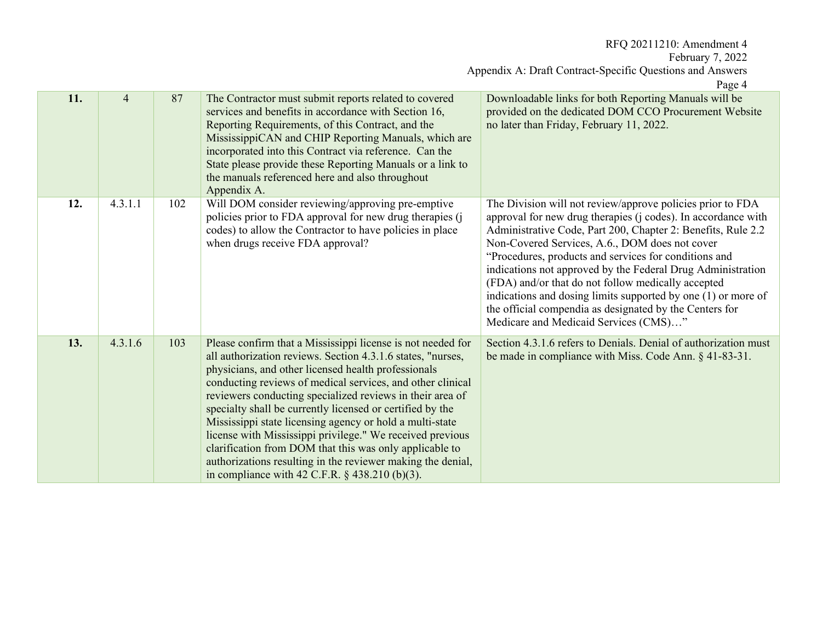|     |                |     |                                                                                                                                                                                                                                                                                                                                                                                                                                                                                                                                                                                                                                                                                   | Page 4                                                                                                                                                                                                                                                                                                                                                                                                                                                                                                                                                                                           |
|-----|----------------|-----|-----------------------------------------------------------------------------------------------------------------------------------------------------------------------------------------------------------------------------------------------------------------------------------------------------------------------------------------------------------------------------------------------------------------------------------------------------------------------------------------------------------------------------------------------------------------------------------------------------------------------------------------------------------------------------------|--------------------------------------------------------------------------------------------------------------------------------------------------------------------------------------------------------------------------------------------------------------------------------------------------------------------------------------------------------------------------------------------------------------------------------------------------------------------------------------------------------------------------------------------------------------------------------------------------|
| 11. | $\overline{4}$ | 87  | The Contractor must submit reports related to covered<br>services and benefits in accordance with Section 16,<br>Reporting Requirements, of this Contract, and the<br>MississippiCAN and CHIP Reporting Manuals, which are<br>incorporated into this Contract via reference. Can the<br>State please provide these Reporting Manuals or a link to<br>the manuals referenced here and also throughout<br>Appendix A.                                                                                                                                                                                                                                                               | Downloadable links for both Reporting Manuals will be<br>provided on the dedicated DOM CCO Procurement Website<br>no later than Friday, February 11, 2022.                                                                                                                                                                                                                                                                                                                                                                                                                                       |
| 12. | 4.3.1.1        | 102 | Will DOM consider reviewing/approving pre-emptive<br>policies prior to FDA approval for new drug therapies (j<br>codes) to allow the Contractor to have policies in place<br>when drugs receive FDA approval?                                                                                                                                                                                                                                                                                                                                                                                                                                                                     | The Division will not review/approve policies prior to FDA<br>approval for new drug therapies (j codes). In accordance with<br>Administrative Code, Part 200, Chapter 2: Benefits, Rule 2.2<br>Non-Covered Services, A.6., DOM does not cover<br>"Procedures, products and services for conditions and<br>indications not approved by the Federal Drug Administration<br>(FDA) and/or that do not follow medically accepted<br>indications and dosing limits supported by one (1) or more of<br>the official compendia as designated by the Centers for<br>Medicare and Medicaid Services (CMS)" |
| 13. | 4.3.1.6        | 103 | Please confirm that a Mississippi license is not needed for<br>all authorization reviews. Section 4.3.1.6 states, "nurses,<br>physicians, and other licensed health professionals<br>conducting reviews of medical services, and other clinical<br>reviewers conducting specialized reviews in their area of<br>specialty shall be currently licensed or certified by the<br>Mississippi state licensing agency or hold a multi-state<br>license with Mississippi privilege." We received previous<br>clarification from DOM that this was only applicable to<br>authorizations resulting in the reviewer making the denial,<br>in compliance with 42 C.F.R. $\S$ 438.210 (b)(3). | Section 4.3.1.6 refers to Denials. Denial of authorization must<br>be made in compliance with Miss. Code Ann. § 41-83-31.                                                                                                                                                                                                                                                                                                                                                                                                                                                                        |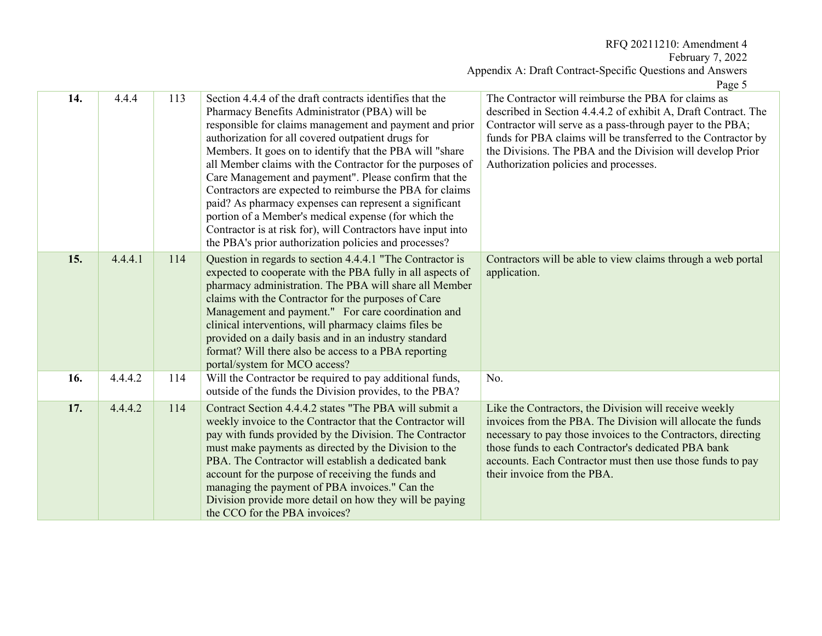|     |         |     |                                                                                                                                                                                                                                                                                                                                                                                                                                                                                                                                                                                                                                                                                                                     | $1 \, \mu \leq C \, \nu$                                                                                                                                                                                                                                                                                                                                   |
|-----|---------|-----|---------------------------------------------------------------------------------------------------------------------------------------------------------------------------------------------------------------------------------------------------------------------------------------------------------------------------------------------------------------------------------------------------------------------------------------------------------------------------------------------------------------------------------------------------------------------------------------------------------------------------------------------------------------------------------------------------------------------|------------------------------------------------------------------------------------------------------------------------------------------------------------------------------------------------------------------------------------------------------------------------------------------------------------------------------------------------------------|
| 14. | 4.4.4   | 113 | Section 4.4.4 of the draft contracts identifies that the<br>Pharmacy Benefits Administrator (PBA) will be<br>responsible for claims management and payment and prior<br>authorization for all covered outpatient drugs for<br>Members. It goes on to identify that the PBA will "share<br>all Member claims with the Contractor for the purposes of<br>Care Management and payment". Please confirm that the<br>Contractors are expected to reimburse the PBA for claims<br>paid? As pharmacy expenses can represent a significant<br>portion of a Member's medical expense (for which the<br>Contractor is at risk for), will Contractors have input into<br>the PBA's prior authorization policies and processes? | The Contractor will reimburse the PBA for claims as<br>described in Section 4.4.4.2 of exhibit A, Draft Contract. The<br>Contractor will serve as a pass-through payer to the PBA;<br>funds for PBA claims will be transferred to the Contractor by<br>the Divisions. The PBA and the Division will develop Prior<br>Authorization policies and processes. |
| 15. | 4.4.4.1 | 114 | Question in regards to section 4.4.4.1 "The Contractor is<br>expected to cooperate with the PBA fully in all aspects of<br>pharmacy administration. The PBA will share all Member<br>claims with the Contractor for the purposes of Care<br>Management and payment." For care coordination and<br>clinical interventions, will pharmacy claims files be<br>provided on a daily basis and in an industry standard<br>format? Will there also be access to a PBA reporting<br>portal/system for MCO access?                                                                                                                                                                                                           | Contractors will be able to view claims through a web portal<br>application.                                                                                                                                                                                                                                                                               |
| 16. | 4.4.4.2 | 114 | Will the Contractor be required to pay additional funds,<br>outside of the funds the Division provides, to the PBA?                                                                                                                                                                                                                                                                                                                                                                                                                                                                                                                                                                                                 | No.                                                                                                                                                                                                                                                                                                                                                        |
| 17. | 4.4.4.2 | 114 | Contract Section 4.4.4.2 states "The PBA will submit a<br>weekly invoice to the Contractor that the Contractor will<br>pay with funds provided by the Division. The Contractor<br>must make payments as directed by the Division to the<br>PBA. The Contractor will establish a dedicated bank<br>account for the purpose of receiving the funds and<br>managing the payment of PBA invoices." Can the<br>Division provide more detail on how they will be paying<br>the CCO for the PBA invoices?                                                                                                                                                                                                                  | Like the Contractors, the Division will receive weekly<br>invoices from the PBA. The Division will allocate the funds<br>necessary to pay those invoices to the Contractors, directing<br>those funds to each Contractor's dedicated PBA bank<br>accounts. Each Contractor must then use those funds to pay<br>their invoice from the PBA.                 |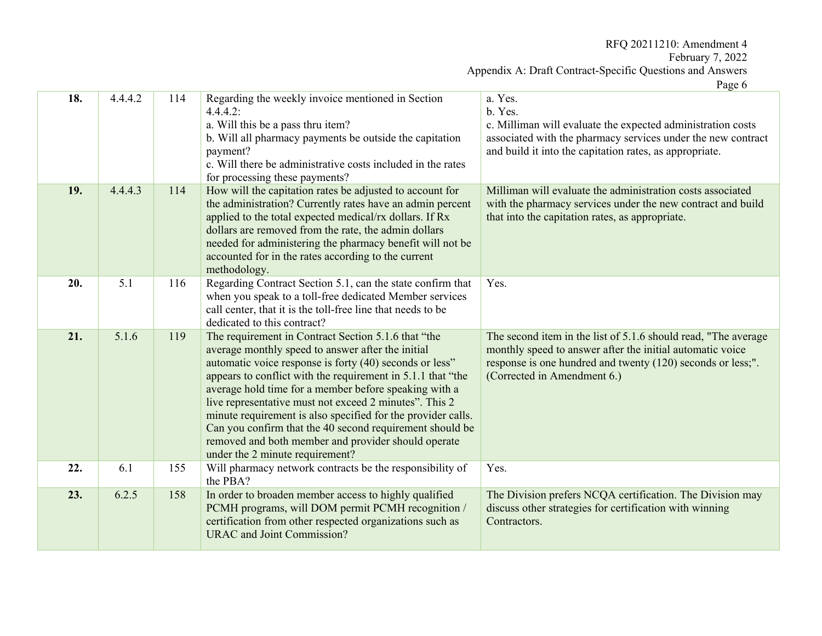|     |         |     |                                                                                                                                                                                                                                                                                                                                                                                                                                                                                                                                                                             | $1 \mu \leqslant c$                                                                                                                                                                                                       |
|-----|---------|-----|-----------------------------------------------------------------------------------------------------------------------------------------------------------------------------------------------------------------------------------------------------------------------------------------------------------------------------------------------------------------------------------------------------------------------------------------------------------------------------------------------------------------------------------------------------------------------------|---------------------------------------------------------------------------------------------------------------------------------------------------------------------------------------------------------------------------|
| 18. | 4.4.4.2 | 114 | Regarding the weekly invoice mentioned in Section<br>4.4.4.2:<br>a. Will this be a pass thru item?<br>b. Will all pharmacy payments be outside the capitation<br>payment?<br>c. Will there be administrative costs included in the rates<br>for processing these payments?                                                                                                                                                                                                                                                                                                  | a. Yes.<br>b. Yes.<br>c. Milliman will evaluate the expected administration costs<br>associated with the pharmacy services under the new contract<br>and build it into the capitation rates, as appropriate.              |
| 19. | 4.4.4.3 | 114 | How will the capitation rates be adjusted to account for<br>the administration? Currently rates have an admin percent<br>applied to the total expected medical/rx dollars. If Rx<br>dollars are removed from the rate, the admin dollars<br>needed for administering the pharmacy benefit will not be<br>accounted for in the rates according to the current<br>methodology.                                                                                                                                                                                                | Milliman will evaluate the administration costs associated<br>with the pharmacy services under the new contract and build<br>that into the capitation rates, as appropriate.                                              |
| 20. | 5.1     | 116 | Regarding Contract Section 5.1, can the state confirm that<br>when you speak to a toll-free dedicated Member services<br>call center, that it is the toll-free line that needs to be<br>dedicated to this contract?                                                                                                                                                                                                                                                                                                                                                         | Yes.                                                                                                                                                                                                                      |
| 21. | 5.1.6   | 119 | The requirement in Contract Section 5.1.6 that "the<br>average monthly speed to answer after the initial<br>automatic voice response is forty (40) seconds or less"<br>appears to conflict with the requirement in 5.1.1 that "the<br>average hold time for a member before speaking with a<br>live representative must not exceed 2 minutes". This 2<br>minute requirement is also specified for the provider calls.<br>Can you confirm that the 40 second requirement should be<br>removed and both member and provider should operate<br>under the 2 minute requirement? | The second item in the list of 5.1.6 should read, "The average<br>monthly speed to answer after the initial automatic voice<br>response is one hundred and twenty (120) seconds or less;".<br>(Corrected in Amendment 6.) |
| 22. | 6.1     | 155 | Will pharmacy network contracts be the responsibility of<br>the PBA?                                                                                                                                                                                                                                                                                                                                                                                                                                                                                                        | Yes.                                                                                                                                                                                                                      |
| 23. | 6.2.5   | 158 | In order to broaden member access to highly qualified<br>PCMH programs, will DOM permit PCMH recognition /<br>certification from other respected organizations such as<br><b>URAC</b> and Joint Commission?                                                                                                                                                                                                                                                                                                                                                                 | The Division prefers NCQA certification. The Division may<br>discuss other strategies for certification with winning<br>Contractors.                                                                                      |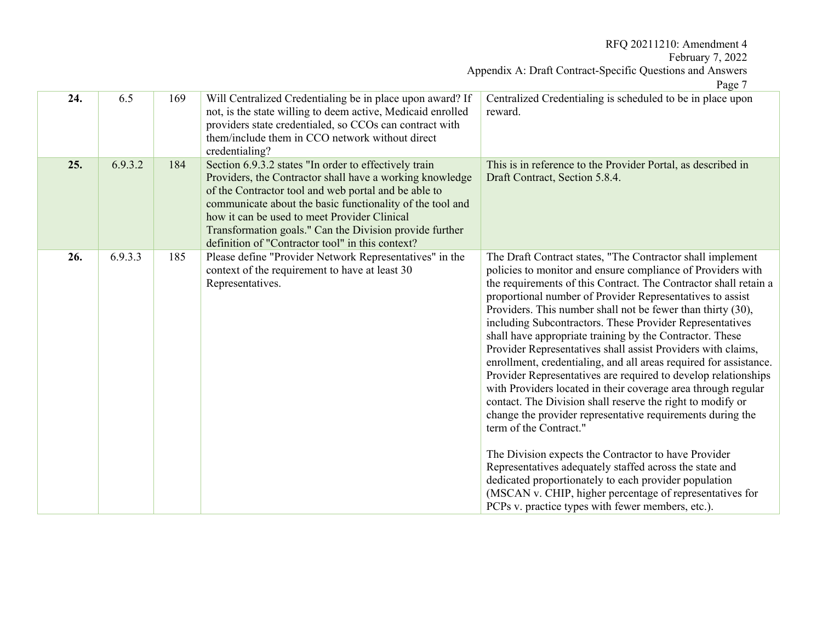| Questions and Ai |  |
|------------------|--|
|                  |  |

|     |         |     |                                                                                                                                                                                                                                                                                                                                                                                                       | Page 7                                                                                                                                                                                                                                                                                                                                                                                                                                                                                                                                                                                                                                                                                                                                                                                                                                                                                                                                                                                                                                                                                                                                                                       |
|-----|---------|-----|-------------------------------------------------------------------------------------------------------------------------------------------------------------------------------------------------------------------------------------------------------------------------------------------------------------------------------------------------------------------------------------------------------|------------------------------------------------------------------------------------------------------------------------------------------------------------------------------------------------------------------------------------------------------------------------------------------------------------------------------------------------------------------------------------------------------------------------------------------------------------------------------------------------------------------------------------------------------------------------------------------------------------------------------------------------------------------------------------------------------------------------------------------------------------------------------------------------------------------------------------------------------------------------------------------------------------------------------------------------------------------------------------------------------------------------------------------------------------------------------------------------------------------------------------------------------------------------------|
| 24. | 6.5     | 169 | Will Centralized Credentialing be in place upon award? If<br>not, is the state willing to deem active, Medicaid enrolled<br>providers state credentialed, so CCOs can contract with<br>them/include them in CCO network without direct<br>credentialing?                                                                                                                                              | Centralized Credentialing is scheduled to be in place upon<br>reward.                                                                                                                                                                                                                                                                                                                                                                                                                                                                                                                                                                                                                                                                                                                                                                                                                                                                                                                                                                                                                                                                                                        |
| 25. | 6.9.3.2 | 184 | Section 6.9.3.2 states "In order to effectively train<br>Providers, the Contractor shall have a working knowledge<br>of the Contractor tool and web portal and be able to<br>communicate about the basic functionality of the tool and<br>how it can be used to meet Provider Clinical<br>Transformation goals." Can the Division provide further<br>definition of "Contractor tool" in this context? | This is in reference to the Provider Portal, as described in<br>Draft Contract, Section 5.8.4.                                                                                                                                                                                                                                                                                                                                                                                                                                                                                                                                                                                                                                                                                                                                                                                                                                                                                                                                                                                                                                                                               |
| 26. | 6.9.3.3 | 185 | Please define "Provider Network Representatives" in the<br>context of the requirement to have at least 30<br>Representatives.                                                                                                                                                                                                                                                                         | The Draft Contract states, "The Contractor shall implement<br>policies to monitor and ensure compliance of Providers with<br>the requirements of this Contract. The Contractor shall retain a<br>proportional number of Provider Representatives to assist<br>Providers. This number shall not be fewer than thirty (30),<br>including Subcontractors. These Provider Representatives<br>shall have appropriate training by the Contractor. These<br>Provider Representatives shall assist Providers with claims,<br>enrollment, credentialing, and all areas required for assistance.<br>Provider Representatives are required to develop relationships<br>with Providers located in their coverage area through regular<br>contact. The Division shall reserve the right to modify or<br>change the provider representative requirements during the<br>term of the Contract."<br>The Division expects the Contractor to have Provider<br>Representatives adequately staffed across the state and<br>dedicated proportionately to each provider population<br>(MSCAN v. CHIP, higher percentage of representatives for<br>PCPs v. practice types with fewer members, etc.). |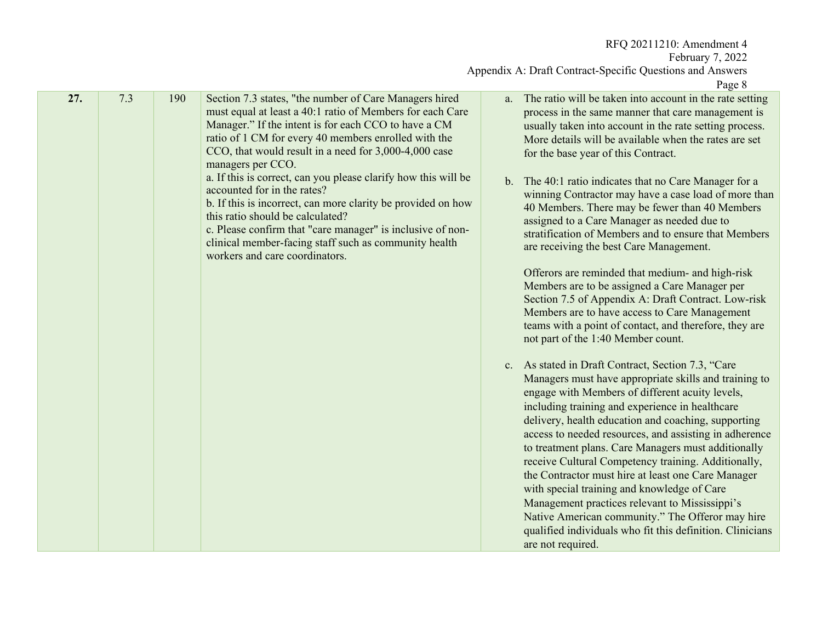|     |     |     |                                                                                                                                                                                                                                                                                                                                                            |    | Page 8                                                                                                                                                                                                                                                                                                                                                                                                                                                                                                                                                                                                                                                                                                                                        |
|-----|-----|-----|------------------------------------------------------------------------------------------------------------------------------------------------------------------------------------------------------------------------------------------------------------------------------------------------------------------------------------------------------------|----|-----------------------------------------------------------------------------------------------------------------------------------------------------------------------------------------------------------------------------------------------------------------------------------------------------------------------------------------------------------------------------------------------------------------------------------------------------------------------------------------------------------------------------------------------------------------------------------------------------------------------------------------------------------------------------------------------------------------------------------------------|
| 27. | 7.3 | 190 | Section 7.3 states, "the number of Care Managers hired<br>must equal at least a 40:1 ratio of Members for each Care<br>Manager." If the intent is for each CCO to have a CM<br>ratio of 1 CM for every 40 members enrolled with the<br>CCO, that would result in a need for 3,000-4,000 case<br>managers per CCO.                                          | a. | The ratio will be taken into account in the rate setting<br>process in the same manner that care management is<br>usually taken into account in the rate setting process.<br>More details will be available when the rates are set<br>for the base year of this Contract.                                                                                                                                                                                                                                                                                                                                                                                                                                                                     |
|     |     |     | a. If this is correct, can you please clarify how this will be<br>accounted for in the rates?<br>b. If this is incorrect, can more clarity be provided on how<br>this ratio should be calculated?<br>c. Please confirm that "care manager" is inclusive of non-<br>clinical member-facing staff such as community health<br>workers and care coordinators. |    | b. The 40:1 ratio indicates that no Care Manager for a<br>winning Contractor may have a case load of more than<br>40 Members. There may be fewer than 40 Members<br>assigned to a Care Manager as needed due to<br>stratification of Members and to ensure that Members<br>are receiving the best Care Management.                                                                                                                                                                                                                                                                                                                                                                                                                            |
|     |     |     |                                                                                                                                                                                                                                                                                                                                                            |    | Offerors are reminded that medium- and high-risk<br>Members are to be assigned a Care Manager per<br>Section 7.5 of Appendix A: Draft Contract. Low-risk<br>Members are to have access to Care Management<br>teams with a point of contact, and therefore, they are<br>not part of the 1:40 Member count.                                                                                                                                                                                                                                                                                                                                                                                                                                     |
|     |     |     |                                                                                                                                                                                                                                                                                                                                                            |    | c. As stated in Draft Contract, Section 7.3, "Care<br>Managers must have appropriate skills and training to<br>engage with Members of different acuity levels,<br>including training and experience in healthcare<br>delivery, health education and coaching, supporting<br>access to needed resources, and assisting in adherence<br>to treatment plans. Care Managers must additionally<br>receive Cultural Competency training. Additionally,<br>the Contractor must hire at least one Care Manager<br>with special training and knowledge of Care<br>Management practices relevant to Mississippi's<br>Native American community." The Offeror may hire<br>qualified individuals who fit this definition. Clinicians<br>are not required. |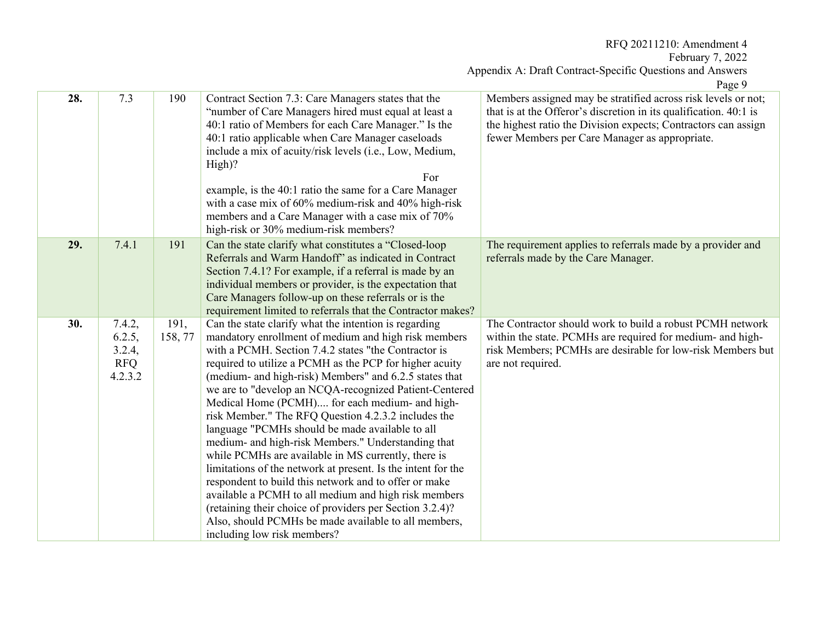|     |                                                     |                 |                                                                                                                                                                                                                                                                                                                                                                                                                                                                                                                                                                                                                                                                                                                                                                                                                                                                                                                                                                   | rage y                                                                                                                                                                                                                                                 |
|-----|-----------------------------------------------------|-----------------|-------------------------------------------------------------------------------------------------------------------------------------------------------------------------------------------------------------------------------------------------------------------------------------------------------------------------------------------------------------------------------------------------------------------------------------------------------------------------------------------------------------------------------------------------------------------------------------------------------------------------------------------------------------------------------------------------------------------------------------------------------------------------------------------------------------------------------------------------------------------------------------------------------------------------------------------------------------------|--------------------------------------------------------------------------------------------------------------------------------------------------------------------------------------------------------------------------------------------------------|
| 28. | 7.3                                                 | 190             | Contract Section 7.3: Care Managers states that the<br>"number of Care Managers hired must equal at least a<br>40:1 ratio of Members for each Care Manager." Is the<br>40:1 ratio applicable when Care Manager caseloads<br>include a mix of acuity/risk levels (i.e., Low, Medium,<br>High)?<br>For<br>example, is the 40:1 ratio the same for a Care Manager<br>with a case mix of 60% medium-risk and 40% high-risk<br>members and a Care Manager with a case mix of 70%<br>high-risk or 30% medium-risk members?                                                                                                                                                                                                                                                                                                                                                                                                                                              | Members assigned may be stratified across risk levels or not;<br>that is at the Offeror's discretion in its qualification. 40:1 is<br>the highest ratio the Division expects; Contractors can assign<br>fewer Members per Care Manager as appropriate. |
| 29. | 7.4.1                                               | 191             | Can the state clarify what constitutes a "Closed-loop"<br>Referrals and Warm Handoff" as indicated in Contract<br>Section 7.4.1? For example, if a referral is made by an<br>individual members or provider, is the expectation that<br>Care Managers follow-up on these referrals or is the<br>requirement limited to referrals that the Contractor makes?                                                                                                                                                                                                                                                                                                                                                                                                                                                                                                                                                                                                       | The requirement applies to referrals made by a provider and<br>referrals made by the Care Manager.                                                                                                                                                     |
| 30. | 7.4.2,<br>6.2.5,<br>3.2.4,<br><b>RFQ</b><br>4.2.3.2 | 191,<br>158, 77 | Can the state clarify what the intention is regarding<br>mandatory enrollment of medium and high risk members<br>with a PCMH. Section 7.4.2 states "the Contractor is<br>required to utilize a PCMH as the PCP for higher acuity<br>(medium- and high-risk) Members" and 6.2.5 states that<br>we are to "develop an NCQA-recognized Patient-Centered<br>Medical Home (PCMH) for each medium- and high-<br>risk Member." The RFQ Question 4.2.3.2 includes the<br>language "PCMHs should be made available to all<br>medium- and high-risk Members." Understanding that<br>while PCMHs are available in MS currently, there is<br>limitations of the network at present. Is the intent for the<br>respondent to build this network and to offer or make<br>available a PCMH to all medium and high risk members<br>(retaining their choice of providers per Section 3.2.4)?<br>Also, should PCMHs be made available to all members,<br>including low risk members? | The Contractor should work to build a robust PCMH network<br>within the state. PCMHs are required for medium- and high-<br>risk Members; PCMHs are desirable for low-risk Members but<br>are not required.                                             |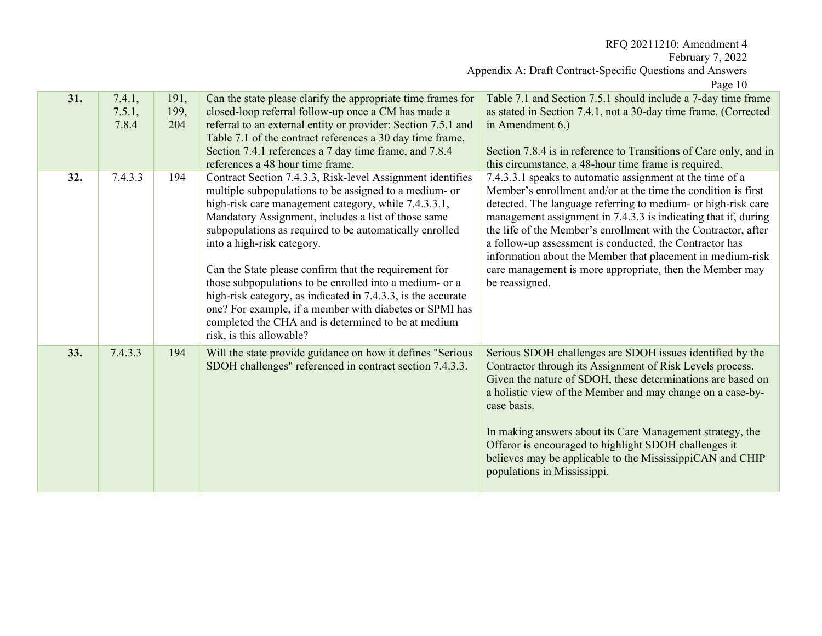RFQ 20211210: Amendment 4

February 7, 2022 Appendix A: Draft Contract-Specific Questions and Answers

|     |                           |                     |                                                                                                                                                                                                                                                                                                                                                                                                                                                                                                                                                                                                                                                                | Page 10                                                                                                                                                                                                                                                                                                                                                                                                                                                                                                                                |
|-----|---------------------------|---------------------|----------------------------------------------------------------------------------------------------------------------------------------------------------------------------------------------------------------------------------------------------------------------------------------------------------------------------------------------------------------------------------------------------------------------------------------------------------------------------------------------------------------------------------------------------------------------------------------------------------------------------------------------------------------|----------------------------------------------------------------------------------------------------------------------------------------------------------------------------------------------------------------------------------------------------------------------------------------------------------------------------------------------------------------------------------------------------------------------------------------------------------------------------------------------------------------------------------------|
| 31. | 7.4.1,<br>7.5.1,<br>7.8.4 | 191,<br>199,<br>204 | Can the state please clarify the appropriate time frames for<br>closed-loop referral follow-up once a CM has made a<br>referral to an external entity or provider: Section 7.5.1 and<br>Table 7.1 of the contract references a 30 day time frame,<br>Section 7.4.1 references a 7 day time frame, and 7.8.4<br>references a 48 hour time frame.                                                                                                                                                                                                                                                                                                                | Table 7.1 and Section 7.5.1 should include a 7-day time frame<br>as stated in Section 7.4.1, not a 30-day time frame. (Corrected<br>in Amendment 6.)<br>Section 7.8.4 is in reference to Transitions of Care only, and in<br>this circumstance, a 48-hour time frame is required.                                                                                                                                                                                                                                                      |
| 32. | 7.4.3.3                   | 194                 | Contract Section 7.4.3.3, Risk-level Assignment identifies<br>multiple subpopulations to be assigned to a medium- or<br>high-risk care management category, while 7.4.3.3.1,<br>Mandatory Assignment, includes a list of those same<br>subpopulations as required to be automatically enrolled<br>into a high-risk category.<br>Can the State please confirm that the requirement for<br>those subpopulations to be enrolled into a medium- or a<br>high-risk category, as indicated in 7.4.3.3, is the accurate<br>one? For example, if a member with diabetes or SPMI has<br>completed the CHA and is determined to be at medium<br>risk, is this allowable? | 7.4.3.3.1 speaks to automatic assignment at the time of a<br>Member's enrollment and/or at the time the condition is first<br>detected. The language referring to medium- or high-risk care<br>management assignment in 7.4.3.3 is indicating that if, during<br>the life of the Member's enrollment with the Contractor, after<br>a follow-up assessment is conducted, the Contractor has<br>information about the Member that placement in medium-risk<br>care management is more appropriate, then the Member may<br>be reassigned. |
| 33. | 7.4.3.3                   | 194                 | Will the state provide guidance on how it defines "Serious<br>SDOH challenges" referenced in contract section 7.4.3.3.                                                                                                                                                                                                                                                                                                                                                                                                                                                                                                                                         | Serious SDOH challenges are SDOH issues identified by the<br>Contractor through its Assignment of Risk Levels process.<br>Given the nature of SDOH, these determinations are based on<br>a holistic view of the Member and may change on a case-by-<br>case basis.<br>In making answers about its Care Management strategy, the<br>Offeror is encouraged to highlight SDOH challenges it<br>believes may be applicable to the MississippiCAN and CHIP<br>populations in Mississippi.                                                   |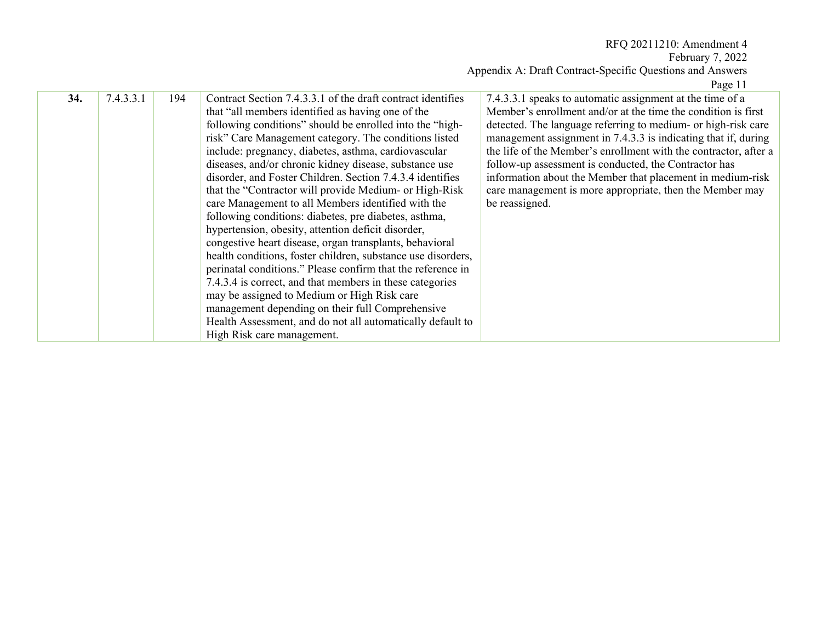|     |           |     |                                                                                                                                                                                                                                                                                                                                                                                                                                                                                                                                                                                                                                                                                                                                                                                                                                                                                                                                                                                                                                                                                                          | Page 11                                                                                                                                                                                                                                                                                                                                                                                                                                                                                                                                |
|-----|-----------|-----|----------------------------------------------------------------------------------------------------------------------------------------------------------------------------------------------------------------------------------------------------------------------------------------------------------------------------------------------------------------------------------------------------------------------------------------------------------------------------------------------------------------------------------------------------------------------------------------------------------------------------------------------------------------------------------------------------------------------------------------------------------------------------------------------------------------------------------------------------------------------------------------------------------------------------------------------------------------------------------------------------------------------------------------------------------------------------------------------------------|----------------------------------------------------------------------------------------------------------------------------------------------------------------------------------------------------------------------------------------------------------------------------------------------------------------------------------------------------------------------------------------------------------------------------------------------------------------------------------------------------------------------------------------|
| 34. | 7.4.3.3.1 | 194 | Contract Section 7.4.3.3.1 of the draft contract identifies<br>that "all members identified as having one of the<br>following conditions" should be enrolled into the "high-<br>risk" Care Management category. The conditions listed<br>include: pregnancy, diabetes, asthma, cardiovascular<br>diseases, and/or chronic kidney disease, substance use<br>disorder, and Foster Children. Section 7.4.3.4 identifies<br>that the "Contractor will provide Medium- or High-Risk<br>care Management to all Members identified with the<br>following conditions: diabetes, pre diabetes, asthma,<br>hypertension, obesity, attention deficit disorder,<br>congestive heart disease, organ transplants, behavioral<br>health conditions, foster children, substance use disorders,<br>perinatal conditions." Please confirm that the reference in<br>7.4.3.4 is correct, and that members in these categories<br>may be assigned to Medium or High Risk care<br>management depending on their full Comprehensive<br>Health Assessment, and do not all automatically default to<br>High Risk care management. | 7.4.3.3.1 speaks to automatic assignment at the time of a<br>Member's enrollment and/or at the time the condition is first<br>detected. The language referring to medium- or high-risk care<br>management assignment in 7.4.3.3 is indicating that if, during<br>the life of the Member's enrollment with the contractor, after a<br>follow-up assessment is conducted, the Contractor has<br>information about the Member that placement in medium-risk<br>care management is more appropriate, then the Member may<br>be reassigned. |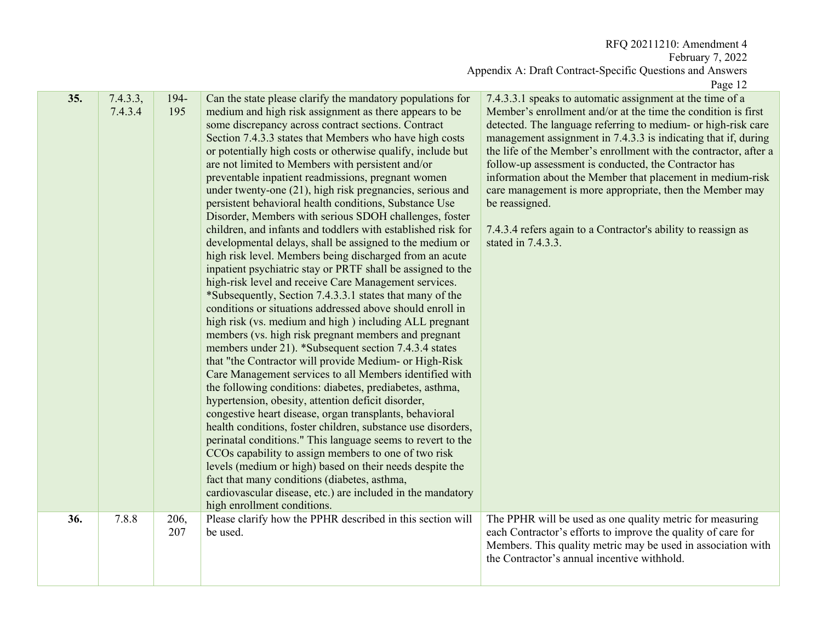|     |                     |             |                                                                                                                                                                                                                                                                                                                                                                                                                                                                                                                                                                                                                                                                                                                                                                                                                                                                                                                                                                                                                                                                                                                                                                                                                                                                                                                                                                                                                                                                                                                                                                                                                                                                                                                                                                                                                                                                                                                         | Page 12                                                                                                                                                                                                                                                                                                                                                                                                                                                                                                                                                                                                                       |
|-----|---------------------|-------------|-------------------------------------------------------------------------------------------------------------------------------------------------------------------------------------------------------------------------------------------------------------------------------------------------------------------------------------------------------------------------------------------------------------------------------------------------------------------------------------------------------------------------------------------------------------------------------------------------------------------------------------------------------------------------------------------------------------------------------------------------------------------------------------------------------------------------------------------------------------------------------------------------------------------------------------------------------------------------------------------------------------------------------------------------------------------------------------------------------------------------------------------------------------------------------------------------------------------------------------------------------------------------------------------------------------------------------------------------------------------------------------------------------------------------------------------------------------------------------------------------------------------------------------------------------------------------------------------------------------------------------------------------------------------------------------------------------------------------------------------------------------------------------------------------------------------------------------------------------------------------------------------------------------------------|-------------------------------------------------------------------------------------------------------------------------------------------------------------------------------------------------------------------------------------------------------------------------------------------------------------------------------------------------------------------------------------------------------------------------------------------------------------------------------------------------------------------------------------------------------------------------------------------------------------------------------|
| 35. | 7.4.3.3,<br>7.4.3.4 | 194-<br>195 | Can the state please clarify the mandatory populations for<br>medium and high risk assignment as there appears to be<br>some discrepancy across contract sections. Contract<br>Section 7.4.3.3 states that Members who have high costs<br>or potentially high costs or otherwise qualify, include but<br>are not limited to Members with persistent and/or<br>preventable inpatient readmissions, pregnant women<br>under twenty-one (21), high risk pregnancies, serious and<br>persistent behavioral health conditions, Substance Use<br>Disorder, Members with serious SDOH challenges, foster<br>children, and infants and toddlers with established risk for<br>developmental delays, shall be assigned to the medium or<br>high risk level. Members being discharged from an acute<br>inpatient psychiatric stay or PRTF shall be assigned to the<br>high-risk level and receive Care Management services.<br>*Subsequently, Section 7.4.3.3.1 states that many of the<br>conditions or situations addressed above should enroll in<br>high risk (vs. medium and high) including ALL pregnant<br>members (vs. high risk pregnant members and pregnant<br>members under 21). *Subsequent section 7.4.3.4 states<br>that "the Contractor will provide Medium- or High-Risk<br>Care Management services to all Members identified with<br>the following conditions: diabetes, prediabetes, asthma,<br>hypertension, obesity, attention deficit disorder,<br>congestive heart disease, organ transplants, behavioral<br>health conditions, foster children, substance use disorders,<br>perinatal conditions." This language seems to revert to the<br>CCOs capability to assign members to one of two risk<br>levels (medium or high) based on their needs despite the<br>fact that many conditions (diabetes, asthma,<br>cardiovascular disease, etc.) are included in the mandatory<br>high enrollment conditions. | 7.4.3.3.1 speaks to automatic assignment at the time of a<br>Member's enrollment and/or at the time the condition is first<br>detected. The language referring to medium- or high-risk care<br>management assignment in 7.4.3.3 is indicating that if, during<br>the life of the Member's enrollment with the contractor, after a<br>follow-up assessment is conducted, the Contractor has<br>information about the Member that placement in medium-risk<br>care management is more appropriate, then the Member may<br>be reassigned.<br>7.4.3.4 refers again to a Contractor's ability to reassign as<br>stated in 7.4.3.3. |
| 36. | 7.8.8               | 206,<br>207 | Please clarify how the PPHR described in this section will<br>be used.                                                                                                                                                                                                                                                                                                                                                                                                                                                                                                                                                                                                                                                                                                                                                                                                                                                                                                                                                                                                                                                                                                                                                                                                                                                                                                                                                                                                                                                                                                                                                                                                                                                                                                                                                                                                                                                  | The PPHR will be used as one quality metric for measuring<br>each Contractor's efforts to improve the quality of care for<br>Members. This quality metric may be used in association with<br>the Contractor's annual incentive withhold.                                                                                                                                                                                                                                                                                                                                                                                      |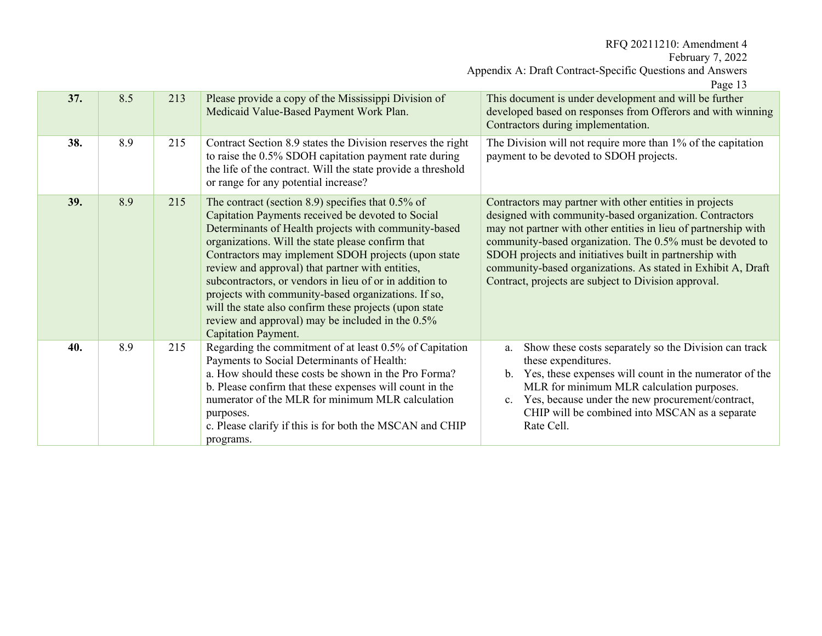RFQ 20211210: Amendment 4

February 7, 2022

Appendix A: Draft Contract-Specific Questions and Answers

|     |     |     |                                                                                                                                                                                                                                                                                                                                                                                                                                                                                                                                                                                                 | $1$ age $13$                                                                                                                                                                                                                                                                                                                                                                                                                          |
|-----|-----|-----|-------------------------------------------------------------------------------------------------------------------------------------------------------------------------------------------------------------------------------------------------------------------------------------------------------------------------------------------------------------------------------------------------------------------------------------------------------------------------------------------------------------------------------------------------------------------------------------------------|---------------------------------------------------------------------------------------------------------------------------------------------------------------------------------------------------------------------------------------------------------------------------------------------------------------------------------------------------------------------------------------------------------------------------------------|
| 37. | 8.5 | 213 | Please provide a copy of the Mississippi Division of<br>Medicaid Value-Based Payment Work Plan.                                                                                                                                                                                                                                                                                                                                                                                                                                                                                                 | This document is under development and will be further<br>developed based on responses from Offerors and with winning<br>Contractors during implementation.                                                                                                                                                                                                                                                                           |
| 38. | 8.9 | 215 | Contract Section 8.9 states the Division reserves the right<br>to raise the 0.5% SDOH capitation payment rate during<br>the life of the contract. Will the state provide a threshold<br>or range for any potential increase?                                                                                                                                                                                                                                                                                                                                                                    | The Division will not require more than 1% of the capitation<br>payment to be devoted to SDOH projects.                                                                                                                                                                                                                                                                                                                               |
| 39. | 8.9 | 215 | The contract (section 8.9) specifies that $0.5\%$ of<br>Capitation Payments received be devoted to Social<br>Determinants of Health projects with community-based<br>organizations. Will the state please confirm that<br>Contractors may implement SDOH projects (upon state<br>review and approval) that partner with entities,<br>subcontractors, or vendors in lieu of or in addition to<br>projects with community-based organizations. If so,<br>will the state also confirm these projects (upon state<br>review and approval) may be included in the 0.5%<br><b>Capitation Payment.</b> | Contractors may partner with other entities in projects<br>designed with community-based organization. Contractors<br>may not partner with other entities in lieu of partnership with<br>community-based organization. The 0.5% must be devoted to<br>SDOH projects and initiatives built in partnership with<br>community-based organizations. As stated in Exhibit A, Draft<br>Contract, projects are subject to Division approval. |
| 40. | 8.9 | 215 | Regarding the commitment of at least 0.5% of Capitation<br>Payments to Social Determinants of Health:<br>a. How should these costs be shown in the Pro Forma?<br>b. Please confirm that these expenses will count in the<br>numerator of the MLR for minimum MLR calculation<br>purposes.<br>c. Please clarify if this is for both the MSCAN and CHIP<br>programs.                                                                                                                                                                                                                              | Show these costs separately so the Division can track<br>a.<br>these expenditures.<br>Yes, these expenses will count in the numerator of the<br>b.<br>MLR for minimum MLR calculation purposes.<br>Yes, because under the new procurement/contract,<br>c.<br>CHIP will be combined into MSCAN as a separate<br>Rate Cell.                                                                                                             |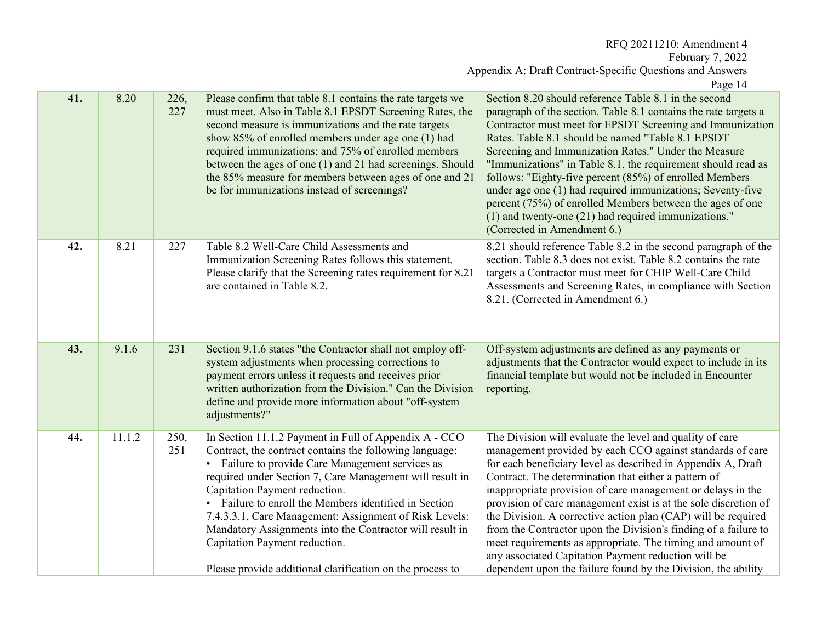RFQ 20211210: Amendment 4 February 7, 2022

Appendix A: Draft Contract-Specific Questions and Answers

|     |        |             |                                                                                                                                                                                                                                                                                                                                                                                                                                                                                                                                                | Page 14                                                                                                                                                                                                                                                                                                                                                                                                                                                                                                                                                                                                                                                                                                   |
|-----|--------|-------------|------------------------------------------------------------------------------------------------------------------------------------------------------------------------------------------------------------------------------------------------------------------------------------------------------------------------------------------------------------------------------------------------------------------------------------------------------------------------------------------------------------------------------------------------|-----------------------------------------------------------------------------------------------------------------------------------------------------------------------------------------------------------------------------------------------------------------------------------------------------------------------------------------------------------------------------------------------------------------------------------------------------------------------------------------------------------------------------------------------------------------------------------------------------------------------------------------------------------------------------------------------------------|
| 41. | 8.20   | 226,<br>227 | Please confirm that table 8.1 contains the rate targets we<br>must meet. Also in Table 8.1 EPSDT Screening Rates, the<br>second measure is immunizations and the rate targets<br>show 85% of enrolled members under age one (1) had<br>required immunizations; and 75% of enrolled members<br>between the ages of one (1) and 21 had screenings. Should<br>the 85% measure for members between ages of one and 21<br>be for immunizations instead of screenings?                                                                               | Section 8.20 should reference Table 8.1 in the second<br>paragraph of the section. Table 8.1 contains the rate targets a<br>Contractor must meet for EPSDT Screening and Immunization<br>Rates. Table 8.1 should be named "Table 8.1 EPSDT<br>Screening and Immunization Rates." Under the Measure<br>"Immunizations" in Table 8.1, the requirement should read as<br>follows: "Eighty-five percent (85%) of enrolled Members<br>under age one (1) had required immunizations; Seventy-five<br>percent (75%) of enrolled Members between the ages of one<br>$(1)$ and twenty-one $(21)$ had required immunizations."<br>(Corrected in Amendment 6.)                                                       |
| 42. | 8.21   | 227         | Table 8.2 Well-Care Child Assessments and<br>Immunization Screening Rates follows this statement.<br>Please clarify that the Screening rates requirement for 8.21<br>are contained in Table 8.2.                                                                                                                                                                                                                                                                                                                                               | 8.21 should reference Table 8.2 in the second paragraph of the<br>section. Table 8.3 does not exist. Table 8.2 contains the rate<br>targets a Contractor must meet for CHIP Well-Care Child<br>Assessments and Screening Rates, in compliance with Section<br>8.21. (Corrected in Amendment 6.)                                                                                                                                                                                                                                                                                                                                                                                                           |
| 43. | 9.1.6  | 231         | Section 9.1.6 states "the Contractor shall not employ off-<br>system adjustments when processing corrections to<br>payment errors unless it requests and receives prior<br>written authorization from the Division." Can the Division<br>define and provide more information about "off-system<br>adjustments?"                                                                                                                                                                                                                                | Off-system adjustments are defined as any payments or<br>adjustments that the Contractor would expect to include in its<br>financial template but would not be included in Encounter<br>reporting.                                                                                                                                                                                                                                                                                                                                                                                                                                                                                                        |
| 44. | 11.1.2 | 250,<br>251 | In Section 11.1.2 Payment in Full of Appendix A - CCO<br>Contract, the contract contains the following language:<br>• Failure to provide Care Management services as<br>required under Section 7, Care Management will result in<br>Capitation Payment reduction.<br>• Failure to enroll the Members identified in Section<br>7.4.3.3.1, Care Management: Assignment of Risk Levels:<br>Mandatory Assignments into the Contractor will result in<br>Capitation Payment reduction.<br>Please provide additional clarification on the process to | The Division will evaluate the level and quality of care<br>management provided by each CCO against standards of care<br>for each beneficiary level as described in Appendix A, Draft<br>Contract. The determination that either a pattern of<br>inappropriate provision of care management or delays in the<br>provision of care management exist is at the sole discretion of<br>the Division. A corrective action plan (CAP) will be required<br>from the Contractor upon the Division's finding of a failure to<br>meet requirements as appropriate. The timing and amount of<br>any associated Capitation Payment reduction will be<br>dependent upon the failure found by the Division, the ability |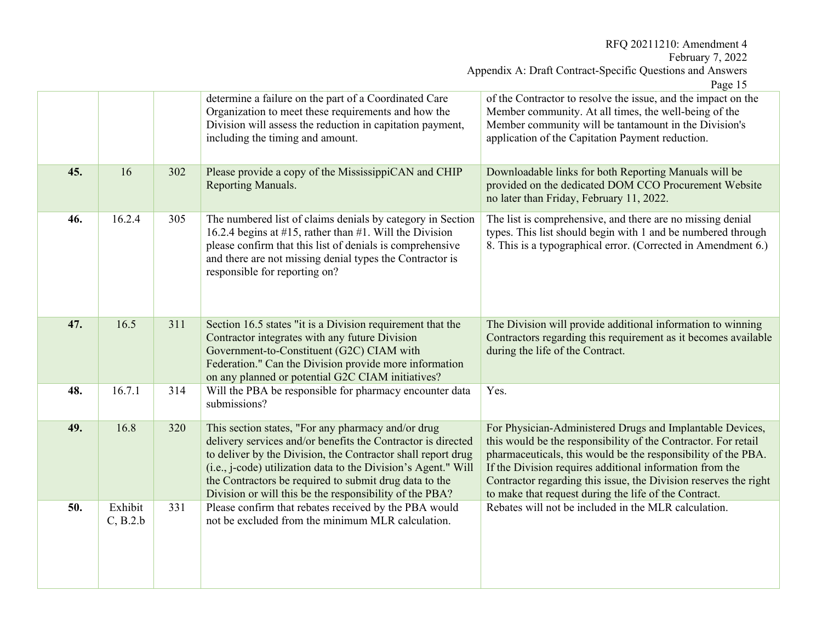February 7, 2022 Appendix A: Draft Contract-Specific Questions and Answers

|     |                           |     | determine a failure on the part of a Coordinated Care<br>Organization to meet these requirements and how the<br>Division will assess the reduction in capitation payment,<br>including the timing and amount.                                                                                                                                                             | of the Contractor to resolve the issue, and the impact on the<br>Member community. At all times, the well-being of the<br>Member community will be tantamount in the Division's<br>application of the Capitation Payment reduction.                                                                                                                                                   |
|-----|---------------------------|-----|---------------------------------------------------------------------------------------------------------------------------------------------------------------------------------------------------------------------------------------------------------------------------------------------------------------------------------------------------------------------------|---------------------------------------------------------------------------------------------------------------------------------------------------------------------------------------------------------------------------------------------------------------------------------------------------------------------------------------------------------------------------------------|
| 45. | 16                        | 302 | Please provide a copy of the MississippiCAN and CHIP<br>Reporting Manuals.                                                                                                                                                                                                                                                                                                | Downloadable links for both Reporting Manuals will be<br>provided on the dedicated DOM CCO Procurement Website<br>no later than Friday, February 11, 2022.                                                                                                                                                                                                                            |
| 46. | 16.2.4                    | 305 | The numbered list of claims denials by category in Section<br>16.2.4 begins at #15, rather than #1. Will the Division<br>please confirm that this list of denials is comprehensive<br>and there are not missing denial types the Contractor is<br>responsible for reporting on?                                                                                           | The list is comprehensive, and there are no missing denial<br>types. This list should begin with 1 and be numbered through<br>8. This is a typographical error. (Corrected in Amendment 6.)                                                                                                                                                                                           |
| 47. | 16.5                      | 311 | Section 16.5 states "it is a Division requirement that the<br>Contractor integrates with any future Division<br>Government-to-Constituent (G2C) CIAM with<br>Federation." Can the Division provide more information<br>on any planned or potential G2C CIAM initiatives?                                                                                                  | The Division will provide additional information to winning<br>Contractors regarding this requirement as it becomes available<br>during the life of the Contract.                                                                                                                                                                                                                     |
| 48. | 16.7.1                    | 314 | Will the PBA be responsible for pharmacy encounter data<br>submissions?                                                                                                                                                                                                                                                                                                   | Yes.                                                                                                                                                                                                                                                                                                                                                                                  |
| 49. | 16.8                      | 320 | This section states, "For any pharmacy and/or drug<br>delivery services and/or benefits the Contractor is directed<br>to deliver by the Division, the Contractor shall report drug<br>(i.e., j-code) utilization data to the Division's Agent." Will<br>the Contractors be required to submit drug data to the<br>Division or will this be the responsibility of the PBA? | For Physician-Administered Drugs and Implantable Devices,<br>this would be the responsibility of the Contractor. For retail<br>pharmaceuticals, this would be the responsibility of the PBA.<br>If the Division requires additional information from the<br>Contractor regarding this issue, the Division reserves the right<br>to make that request during the life of the Contract. |
| 50. | Exhibit<br>$C$ , B.2. $b$ | 331 | Please confirm that rebates received by the PBA would<br>not be excluded from the minimum MLR calculation.                                                                                                                                                                                                                                                                | Rebates will not be included in the MLR calculation.                                                                                                                                                                                                                                                                                                                                  |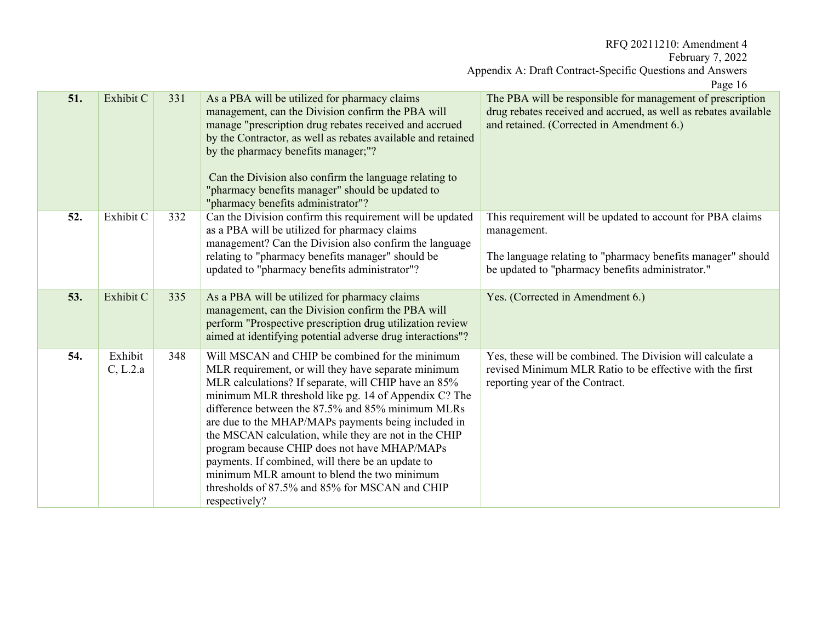| 51. | Exhibit C           | 331 | As a PBA will be utilized for pharmacy claims<br>management, can the Division confirm the PBA will<br>manage "prescription drug rebates received and accrued<br>by the Contractor, as well as rebates available and retained<br>by the pharmacy benefits manager;"?<br>Can the Division also confirm the language relating to<br>"pharmacy benefits manager" should be updated to<br>"pharmacy benefits administrator"?                                                                                                                                                                                            | The PBA will be responsible for management of prescription<br>drug rebates received and accrued, as well as rebates available<br>and retained. (Corrected in Amendment 6.)                   |
|-----|---------------------|-----|--------------------------------------------------------------------------------------------------------------------------------------------------------------------------------------------------------------------------------------------------------------------------------------------------------------------------------------------------------------------------------------------------------------------------------------------------------------------------------------------------------------------------------------------------------------------------------------------------------------------|----------------------------------------------------------------------------------------------------------------------------------------------------------------------------------------------|
| 52. | Exhibit C           | 332 | Can the Division confirm this requirement will be updated<br>as a PBA will be utilized for pharmacy claims<br>management? Can the Division also confirm the language<br>relating to "pharmacy benefits manager" should be<br>updated to "pharmacy benefits administrator"?                                                                                                                                                                                                                                                                                                                                         | This requirement will be updated to account for PBA claims<br>management.<br>The language relating to "pharmacy benefits manager" should<br>be updated to "pharmacy benefits administrator." |
| 53. | Exhibit C           | 335 | As a PBA will be utilized for pharmacy claims<br>management, can the Division confirm the PBA will<br>perform "Prospective prescription drug utilization review<br>aimed at identifying potential adverse drug interactions"?                                                                                                                                                                                                                                                                                                                                                                                      | Yes. (Corrected in Amendment 6.)                                                                                                                                                             |
| 54. | Exhibit<br>C, L.2.a | 348 | Will MSCAN and CHIP be combined for the minimum<br>MLR requirement, or will they have separate minimum<br>MLR calculations? If separate, will CHIP have an 85%<br>minimum MLR threshold like pg. 14 of Appendix C? The<br>difference between the 87.5% and 85% minimum MLRs<br>are due to the MHAP/MAPs payments being included in<br>the MSCAN calculation, while they are not in the CHIP<br>program because CHIP does not have MHAP/MAPs<br>payments. If combined, will there be an update to<br>minimum MLR amount to blend the two minimum<br>thresholds of 87.5% and 85% for MSCAN and CHIP<br>respectively? | Yes, these will be combined. The Division will calculate a<br>revised Minimum MLR Ratio to be effective with the first<br>reporting year of the Contract.                                    |